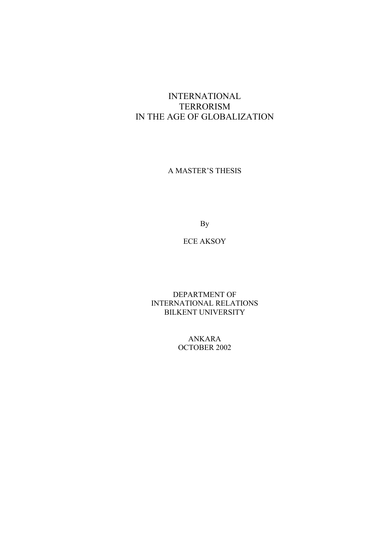# INTERNATIONAL TERRORISM IN THE AGE OF GLOBALIZATION

A MASTER'S THESIS

By

### ECE AKSOY

DEPARTMENT OF INTERNATIONAL RELATIONS BILKENT UNIVERSITY

> ANKARA OCTOBER 2002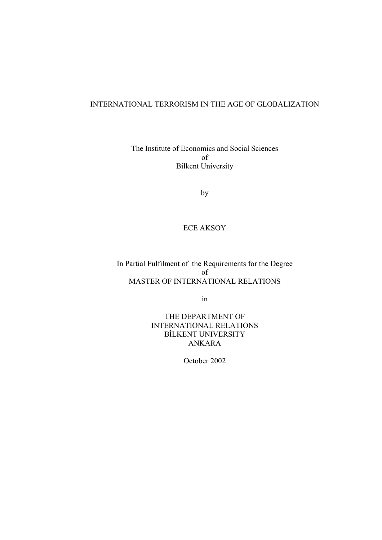## INTERNATIONAL TERRORISM IN THE AGE OF GLOBALIZATION

The Institute of Economics and Social Sciences of Bilkent University

by

# ECE AKSOY

In Partial Fulfilment of the Requirements for the Degree of MASTER OF INTERNATIONAL RELATIONS

in

THE DEPARTMENT OF INTERNATIONAL RELATIONS BİLKENT UNIVERSITY ANKARA

October 2002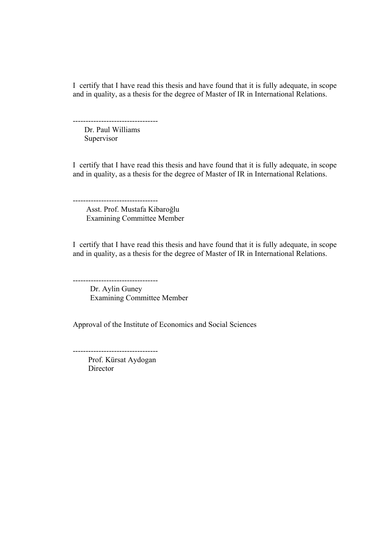I certify that I have read this thesis and have found that it is fully adequate, in scope and in quality, as a thesis for the degree of Master of IR in International Relations.

--------------------------------- Dr. Paul Williams Supervisor

I certify that I have read this thesis and have found that it is fully adequate, in scope and in quality, as a thesis for the degree of Master of IR in International Relations.

--------------------------------- Asst. Prof. Mustafa Kibaroğlu Examining Committee Member

I certify that I have read this thesis and have found that it is fully adequate, in scope and in quality, as a thesis for the degree of Master of IR in International Relations.

 Dr. Aylin Guney Examining Committee Member

Approval of the Institute of Economics and Social Sciences

--------------------------------- Prof. Kürsat Aydogan Director

 $-$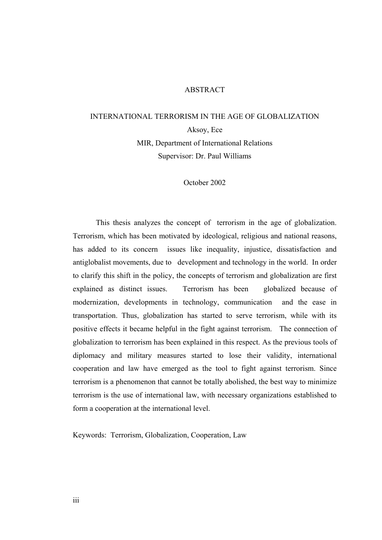## ABSTRACT

# INTERNATIONAL TERRORISM IN THE AGE OF GLOBALIZATION Aksoy, Ece MIR, Department of International Relations Supervisor: Dr. Paul Williams

October 2002

 This thesis analyzes the concept of terrorism in the age of globalization. Terrorism, which has been motivated by ideological, religious and national reasons, has added to its concern issues like inequality, injustice, dissatisfaction and antiglobalist movements, due to development and technology in the world. In order to clarify this shift in the policy, the concepts of terrorism and globalization are first explained as distinct issues. Terrorism has been globalized because of modernization, developments in technology, communication and the ease in transportation. Thus, globalization has started to serve terrorism, while with its positive effects it became helpful in the fight against terrorism. The connection of globalization to terrorism has been explained in this respect. As the previous tools of diplomacy and military measures started to lose their validity, international cooperation and law have emerged as the tool to fight against terrorism. Since terrorism is a phenomenon that cannot be totally abolished, the best way to minimize terrorism is the use of international law, with necessary organizations established to form a cooperation at the international level.

Keywords: Terrorism, Globalization, Cooperation, Law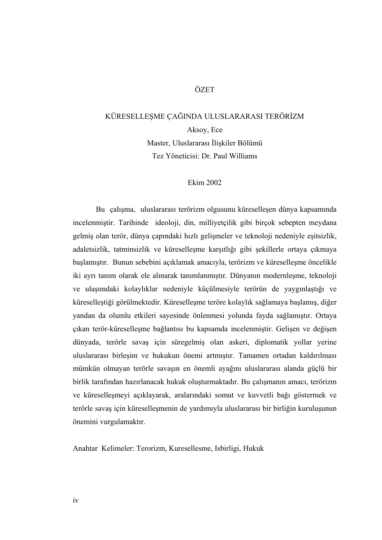### **ÖZET**

# KÜRESELLEŞME ÇAĞINDA ULUSLARARASI TERÖRİZM Aksoy, Ece Master, Uluslararası İlişkiler Bölümü Tez Yöneticisi: Dr. Paul Williams

#### Ekim 2002

 Bu çalışma, uluslararası terörizm olgusunu küreselleşen dünya kapsamında incelenmiştir. Tarihinde ideoloji, din, milliyetçilik gibi birçok sebepten meydana gelmiş olan terör, dünya çapındaki hızlı gelişmeler ve teknoloji nedeniyle eşitsizlik, adaletsizlik, tatminsizlik ve küreselleşme karşıtlığı gibi şekillerle ortaya çıkmaya başlamıştır. Bunun sebebini açıklamak amacıyla, terörizm ve küreselleşme öncelikle iki ayrı tanım olarak ele alınarak tanımlanmıştır. Dünyanın modernleşme, teknoloji ve ulaşımdaki kolaylıklar nedeniyle küçülmesiyle terörün de yaygınlaştığı ve küreselleştiği görülmektedir. Küreselleşme teröre kolaylık sağlamaya başlamış, diğer yandan da olumlu etkileri sayesinde önlenmesi yolunda fayda sağlamıştır. Ortaya çıkan terör-küreselleşme bağlantısı bu kapsamda incelenmiştir. Gelişen ve değişen dünyada, terörle savaş için süregelmiş olan askeri, diplomatik yollar yerine uluslararası birleşim ve hukukun önemi artmıştır. Tamamen ortadan kaldırılması mümkün olmayan terörle savaşın en önemli ayağını uluslararası alanda güçlü bir birlik tarafından hazırlanacak hukuk oluşturmaktadır. Bu çalışmanın amacı, terörizm ve küreselleşmeyi açıklayarak, aralarındaki somut ve kuvvetli bağı göstermek ve terörle savaş için küreselleşmenin de yardımıyla uluslararası bir birliğin kuruluşunun önemini vurgulamaktır.

Anahtar Kelimeler: Terorizm, Kuresellesme, Isbirligi, Hukuk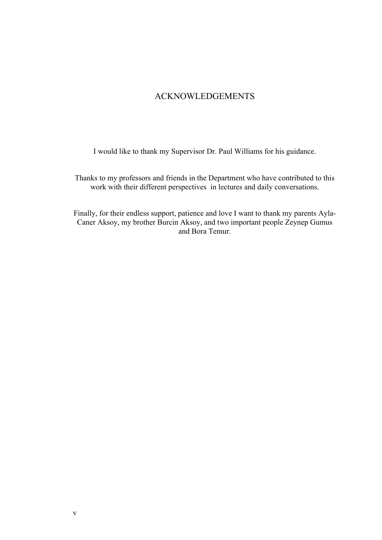# ACKNOWLEDGEMENTS

I would like to thank my Supervisor Dr. Paul Williams for his guidance.

Thanks to my professors and friends in the Department who have contributed to this work with their different perspectives in lectures and daily conversations.

Finally, for their endless support, patience and love I want to thank my parents Ayla-Caner Aksoy, my brother Burcin Aksoy, and two important people Zeynep Gumus and Bora Temur.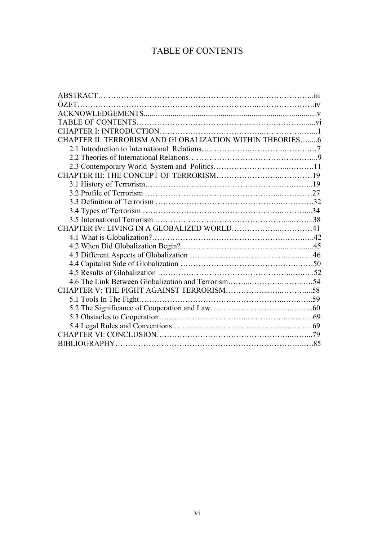# TABLE OF CONTENTS

| CHAPTER II: TERRORISM AND GLOBALIZATION WITHIN THEORIES6 |  |
|----------------------------------------------------------|--|
|                                                          |  |
|                                                          |  |
|                                                          |  |
|                                                          |  |
|                                                          |  |
|                                                          |  |
|                                                          |  |
|                                                          |  |
|                                                          |  |
| CHAPTER IV: LIVING IN A GLOBALIZED WORLD41               |  |
|                                                          |  |
|                                                          |  |
|                                                          |  |
|                                                          |  |
|                                                          |  |
|                                                          |  |
|                                                          |  |
|                                                          |  |
|                                                          |  |
|                                                          |  |
|                                                          |  |
|                                                          |  |
|                                                          |  |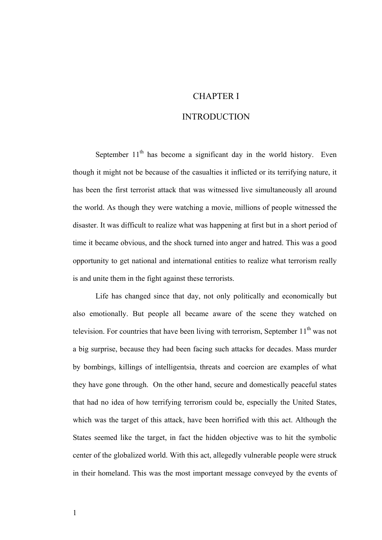## CHAPTER I

### **INTRODUCTION**

September  $11<sup>th</sup>$  has become a significant day in the world history. Even though it might not be because of the casualties it inflicted or its terrifying nature, it has been the first terrorist attack that was witnessed live simultaneously all around the world. As though they were watching a movie, millions of people witnessed the disaster. It was difficult to realize what was happening at first but in a short period of time it became obvious, and the shock turned into anger and hatred. This was a good opportunity to get national and international entities to realize what terrorism really is and unite them in the fight against these terrorists.

Life has changed since that day, not only politically and economically but also emotionally. But people all became aware of the scene they watched on television. For countries that have been living with terrorism, September  $11<sup>th</sup>$  was not a big surprise, because they had been facing such attacks for decades. Mass murder by bombings, killings of intelligentsia, threats and coercion are examples of what they have gone through. On the other hand, secure and domestically peaceful states that had no idea of how terrifying terrorism could be, especially the United States, which was the target of this attack, have been horrified with this act. Although the States seemed like the target, in fact the hidden objective was to hit the symbolic center of the globalized world. With this act, allegedly vulnerable people were struck in their homeland. This was the most important message conveyed by the events of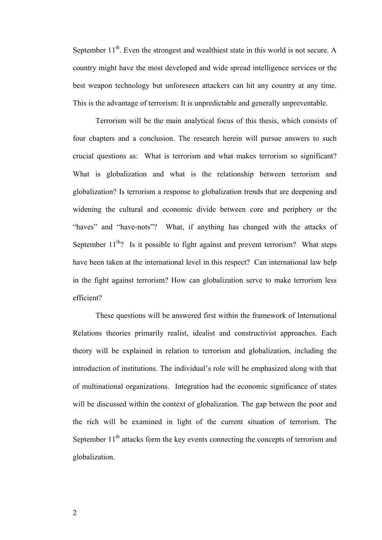September  $11<sup>th</sup>$ . Even the strongest and wealthiest state in this world is not secure. A country might have the most developed and wide spread intelligence services or the best weapon technology but unforeseen attackers can hit any country at any time. This is the advantage of terrorism: It is unpredictable and generally unpreventable.

Terrorism will be the main analytical focus of this thesis, which consists of four chapters and a conclusion. The research herein will pursue answers to such crucial questions as: What is terrorism and what makes terrorism so significant? What is globalization and what is the relationship between terrorism and globalization? Is terrorism a response to globalization trends that are deepening and widening the cultural and economic divide between core and periphery or the "haves" and "have-nots"? What, if anything has changed with the attacks of September  $11<sup>th</sup>$ ? Is it possible to fight against and prevent terrorism? What steps have been taken at the international level in this respect? Can international law help in the fight against terrorism? How can globalization serve to make terrorism less efficient?

These questions will be answered first within the framework of International Relations theories primarily realist, idealist and constructivist approaches. Each theory will be explained in relation to terrorism and globalization, including the introduction of institutions. The individual's role will be emphasized along with that of multinational organizations. Integration had the economic significance of states will be discussed within the context of globalization. The gap between the poor and the rich will be examined in light of the current situation of terrorism. The September  $11<sup>th</sup>$  attacks form the key events connecting the concepts of terrorism and globalization.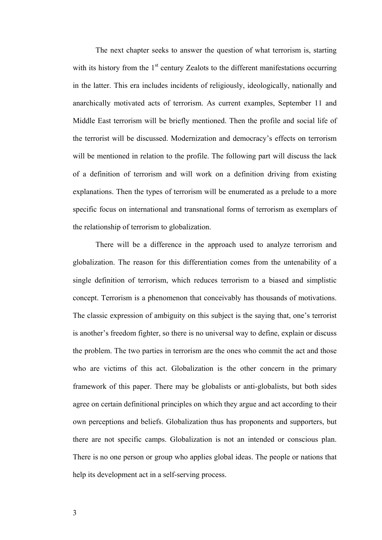The next chapter seeks to answer the question of what terrorism is, starting with its history from the  $1<sup>st</sup>$  century Zealots to the different manifestations occurring in the latter. This era includes incidents of religiously, ideologically, nationally and anarchically motivated acts of terrorism. As current examples, September 11 and Middle East terrorism will be briefly mentioned. Then the profile and social life of the terrorist will be discussed. Modernization and democracy's effects on terrorism will be mentioned in relation to the profile. The following part will discuss the lack of a definition of terrorism and will work on a definition driving from existing explanations. Then the types of terrorism will be enumerated as a prelude to a more specific focus on international and transnational forms of terrorism as exemplars of the relationship of terrorism to globalization.

There will be a difference in the approach used to analyze terrorism and globalization. The reason for this differentiation comes from the untenability of a single definition of terrorism, which reduces terrorism to a biased and simplistic concept. Terrorism is a phenomenon that conceivably has thousands of motivations. The classic expression of ambiguity on this subject is the saying that, one's terrorist is another's freedom fighter, so there is no universal way to define, explain or discuss the problem. The two parties in terrorism are the ones who commit the act and those who are victims of this act. Globalization is the other concern in the primary framework of this paper. There may be globalists or anti-globalists, but both sides agree on certain definitional principles on which they argue and act according to their own perceptions and beliefs. Globalization thus has proponents and supporters, but there are not specific camps. Globalization is not an intended or conscious plan. There is no one person or group who applies global ideas. The people or nations that help its development act in a self-serving process.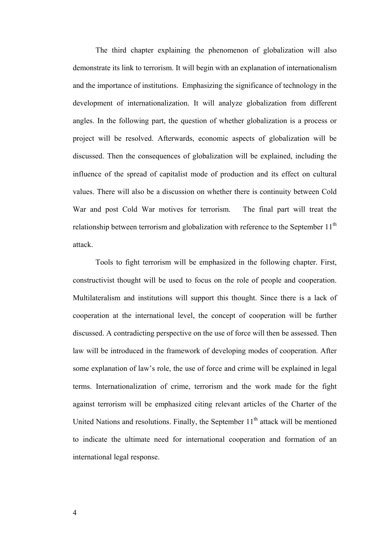The third chapter explaining the phenomenon of globalization will also demonstrate its link to terrorism. It will begin with an explanation of internationalism and the importance of institutions. Emphasizing the significance of technology in the development of internationalization. It will analyze globalization from different angles. In the following part, the question of whether globalization is a process or project will be resolved. Afterwards, economic aspects of globalization will be discussed. Then the consequences of globalization will be explained, including the influence of the spread of capitalist mode of production and its effect on cultural values. There will also be a discussion on whether there is continuity between Cold War and post Cold War motives for terrorism. The final part will treat the relationship between terrorism and globalization with reference to the September  $11<sup>th</sup>$ attack.

Tools to fight terrorism will be emphasized in the following chapter. First, constructivist thought will be used to focus on the role of people and cooperation. Multilateralism and institutions will support this thought. Since there is a lack of cooperation at the international level, the concept of cooperation will be further discussed. A contradicting perspective on the use of force will then be assessed. Then law will be introduced in the framework of developing modes of cooperation. After some explanation of law's role, the use of force and crime will be explained in legal terms. Internationalization of crime, terrorism and the work made for the fight against terrorism will be emphasized citing relevant articles of the Charter of the United Nations and resolutions. Finally, the September  $11<sup>th</sup>$  attack will be mentioned to indicate the ultimate need for international cooperation and formation of an international legal response.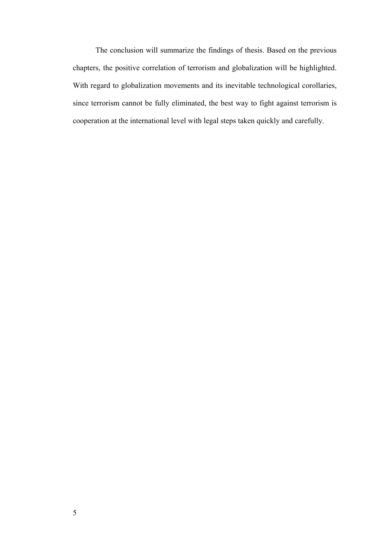The conclusion will summarize the findings of thesis. Based on the previous chapters, the positive correlation of terrorism and globalization will be highlighted. With regard to globalization movements and its inevitable technological corollaries, since terrorism cannot be fully eliminated, the best way to fight against terrorism is cooperation at the international level with legal steps taken quickly and carefully.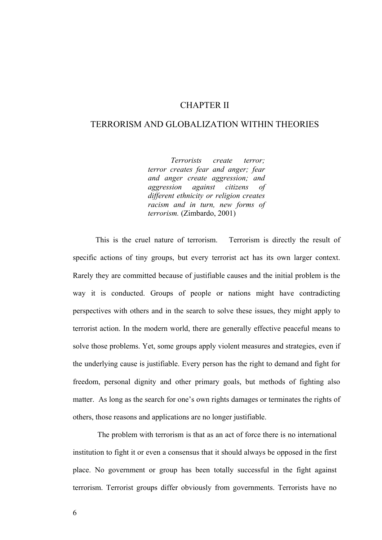## CHAPTER II

### TERRORISM AND GLOBALIZATION WITHIN THEORIES

*Terrorists create terror; terror creates fear and anger; fear and anger create aggression; and aggression against citizens of different ethnicity or religion creates racism and in turn, new forms of terrorism.* (Zimbardo, 2001)

This is the cruel nature of terrorism. Terrorism is directly the result of specific actions of tiny groups, but every terrorist act has its own larger context. Rarely they are committed because of justifiable causes and the initial problem is the way it is conducted. Groups of people or nations might have contradicting perspectives with others and in the search to solve these issues, they might apply to terrorist action. In the modern world, there are generally effective peaceful means to solve those problems. Yet, some groups apply violent measures and strategies, even if the underlying cause is justifiable. Every person has the right to demand and fight for freedom, personal dignity and other primary goals, but methods of fighting also matter. As long as the search for one's own rights damages or terminates the rights of others, those reasons and applications are no longer justifiable.

 The problem with terrorism is that as an act of force there is no international institution to fight it or even a consensus that it should always be opposed in the first place. No government or group has been totally successful in the fight against terrorism. Terrorist groups differ obviously from governments. Terrorists have no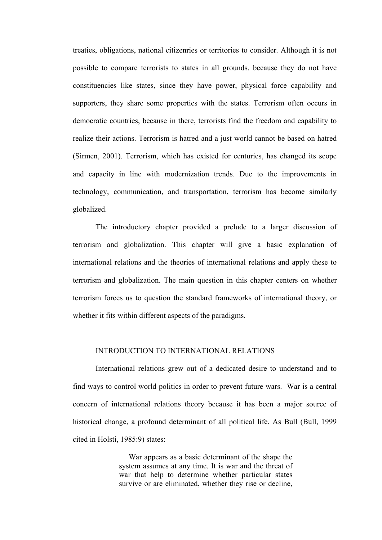treaties, obligations, national citizenries or territories to consider. Although it is not possible to compare terrorists to states in all grounds, because they do not have constituencies like states, since they have power, physical force capability and supporters, they share some properties with the states. Terrorism often occurs in democratic countries, because in there, terrorists find the freedom and capability to realize their actions. Terrorism is hatred and a just world cannot be based on hatred (Sirmen, 2001). Terrorism, which has existed for centuries, has changed its scope and capacity in line with modernization trends. Due to the improvements in technology, communication, and transportation, terrorism has become similarly globalized.

The introductory chapter provided a prelude to a larger discussion of terrorism and globalization. This chapter will give a basic explanation of international relations and the theories of international relations and apply these to terrorism and globalization. The main question in this chapter centers on whether terrorism forces us to question the standard frameworks of international theory, or whether it fits within different aspects of the paradigms.

#### INTRODUCTION TO INTERNATIONAL RELATIONS

International relations grew out of a dedicated desire to understand and to find ways to control world politics in order to prevent future wars. War is a central concern of international relations theory because it has been a major source of historical change, a profound determinant of all political life. As Bull (Bull, 1999 cited in Holsti, 1985:9) states:

> War appears as a basic determinant of the shape the system assumes at any time. It is war and the threat of war that help to determine whether particular states survive or are eliminated, whether they rise or decline,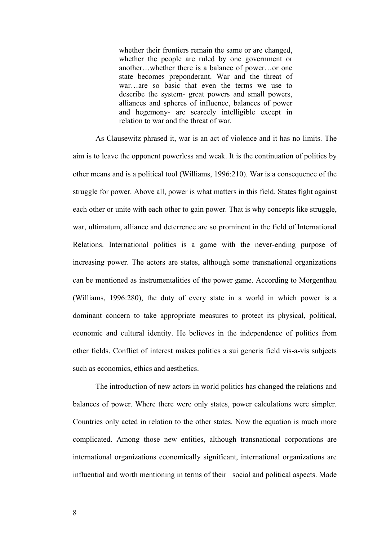whether their frontiers remain the same or are changed, whether the people are ruled by one government or another…whether there is a balance of power…or one state becomes preponderant. War and the threat of war…are so basic that even the terms we use to describe the system- great powers and small powers, alliances and spheres of influence, balances of power and hegemony- are scarcely intelligible except in relation to war and the threat of war.

As Clausewitz phrased it, war is an act of violence and it has no limits. The aim is to leave the opponent powerless and weak. It is the continuation of politics by other means and is a political tool (Williams, 1996:210). War is a consequence of the struggle for power. Above all, power is what matters in this field. States fight against each other or unite with each other to gain power. That is why concepts like struggle, war, ultimatum, alliance and deterrence are so prominent in the field of International Relations. International politics is a game with the never-ending purpose of increasing power. The actors are states, although some transnational organizations can be mentioned as instrumentalities of the power game. According to Morgenthau (Williams, 1996:280), the duty of every state in a world in which power is a dominant concern to take appropriate measures to protect its physical, political, economic and cultural identity. He believes in the independence of politics from other fields. Conflict of interest makes politics a sui generis field vis-a-vis subjects such as economics, ethics and aesthetics.

The introduction of new actors in world politics has changed the relations and balances of power. Where there were only states, power calculations were simpler. Countries only acted in relation to the other states. Now the equation is much more complicated. Among those new entities, although transnational corporations are international organizations economically significant, international organizations are influential and worth mentioning in terms of their social and political aspects. Made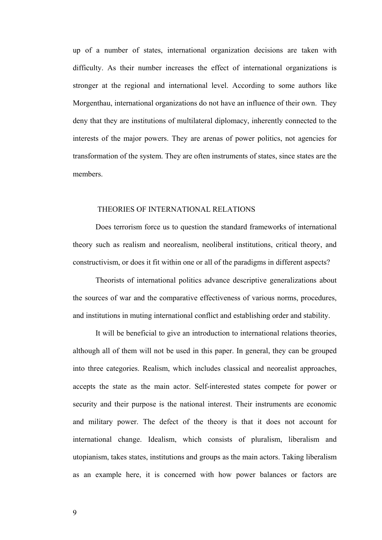up of a number of states, international organization decisions are taken with difficulty. As their number increases the effect of international organizations is stronger at the regional and international level. According to some authors like Morgenthau, international organizations do not have an influence of their own. They deny that they are institutions of multilateral diplomacy, inherently connected to the interests of the major powers. They are arenas of power politics, not agencies for transformation of the system. They are often instruments of states, since states are the members.

#### THEORIES OF INTERNATIONAL RELATIONS

Does terrorism force us to question the standard frameworks of international theory such as realism and neorealism, neoliberal institutions, critical theory, and constructivism, or does it fit within one or all of the paradigms in different aspects?

Theorists of international politics advance descriptive generalizations about the sources of war and the comparative effectiveness of various norms, procedures, and institutions in muting international conflict and establishing order and stability.

It will be beneficial to give an introduction to international relations theories, although all of them will not be used in this paper. In general, they can be grouped into three categories. Realism, which includes classical and neorealist approaches, accepts the state as the main actor. Self-interested states compete for power or security and their purpose is the national interest. Their instruments are economic and military power. The defect of the theory is that it does not account for international change. Idealism, which consists of pluralism, liberalism and utopianism, takes states, institutions and groups as the main actors. Taking liberalism as an example here, it is concerned with how power balances or factors are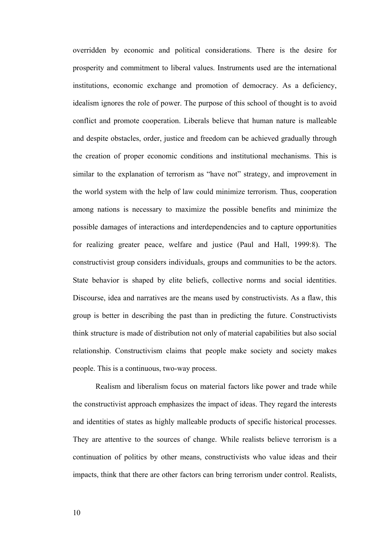overridden by economic and political considerations. There is the desire for prosperity and commitment to liberal values. Instruments used are the international institutions, economic exchange and promotion of democracy. As a deficiency, idealism ignores the role of power. The purpose of this school of thought is to avoid conflict and promote cooperation. Liberals believe that human nature is malleable and despite obstacles, order, justice and freedom can be achieved gradually through the creation of proper economic conditions and institutional mechanisms. This is similar to the explanation of terrorism as "have not" strategy, and improvement in the world system with the help of law could minimize terrorism. Thus, cooperation among nations is necessary to maximize the possible benefits and minimize the possible damages of interactions and interdependencies and to capture opportunities for realizing greater peace, welfare and justice (Paul and Hall, 1999:8). The constructivist group considers individuals, groups and communities to be the actors. State behavior is shaped by elite beliefs, collective norms and social identities. Discourse, idea and narratives are the means used by constructivists. As a flaw, this group is better in describing the past than in predicting the future. Constructivists think structure is made of distribution not only of material capabilities but also social relationship. Constructivism claims that people make society and society makes people. This is a continuous, two-way process.

Realism and liberalism focus on material factors like power and trade while the constructivist approach emphasizes the impact of ideas. They regard the interests and identities of states as highly malleable products of specific historical processes. They are attentive to the sources of change. While realists believe terrorism is a continuation of politics by other means, constructivists who value ideas and their impacts, think that there are other factors can bring terrorism under control. Realists,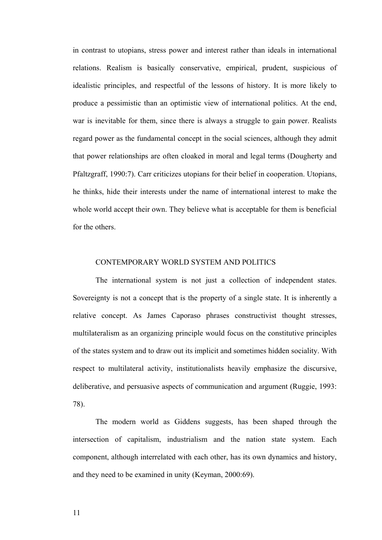in contrast to utopians, stress power and interest rather than ideals in international relations. Realism is basically conservative, empirical, prudent, suspicious of idealistic principles, and respectful of the lessons of history. It is more likely to produce a pessimistic than an optimistic view of international politics. At the end, war is inevitable for them, since there is always a struggle to gain power. Realists regard power as the fundamental concept in the social sciences, although they admit that power relationships are often cloaked in moral and legal terms (Dougherty and Pfaltzgraff, 1990:7). Carr criticizes utopians for their belief in cooperation. Utopians, he thinks, hide their interests under the name of international interest to make the whole world accept their own. They believe what is acceptable for them is beneficial for the others.

#### CONTEMPORARY WORLD SYSTEM AND POLITICS

The international system is not just a collection of independent states. Sovereignty is not a concept that is the property of a single state. It is inherently a relative concept. As James Caporaso phrases constructivist thought stresses, multilateralism as an organizing principle would focus on the constitutive principles of the states system and to draw out its implicit and sometimes hidden sociality. With respect to multilateral activity, institutionalists heavily emphasize the discursive, deliberative, and persuasive aspects of communication and argument (Ruggie, 1993: 78).

The modern world as Giddens suggests, has been shaped through the intersection of capitalism, industrialism and the nation state system. Each component, although interrelated with each other, has its own dynamics and history, and they need to be examined in unity (Keyman, 2000:69).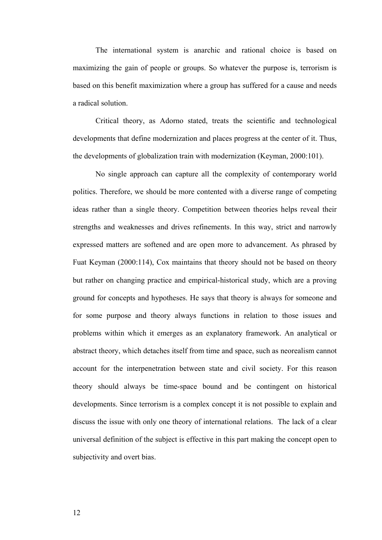The international system is anarchic and rational choice is based on maximizing the gain of people or groups. So whatever the purpose is, terrorism is based on this benefit maximization where a group has suffered for a cause and needs a radical solution.

Critical theory, as Adorno stated, treats the scientific and technological developments that define modernization and places progress at the center of it. Thus, the developments of globalization train with modernization (Keyman, 2000:101).

No single approach can capture all the complexity of contemporary world politics. Therefore, we should be more contented with a diverse range of competing ideas rather than a single theory. Competition between theories helps reveal their strengths and weaknesses and drives refinements. In this way, strict and narrowly expressed matters are softened and are open more to advancement. As phrased by Fuat Keyman (2000:114), Cox maintains that theory should not be based on theory but rather on changing practice and empirical-historical study, which are a proving ground for concepts and hypotheses. He says that theory is always for someone and for some purpose and theory always functions in relation to those issues and problems within which it emerges as an explanatory framework. An analytical or abstract theory, which detaches itself from time and space, such as neorealism cannot account for the interpenetration between state and civil society. For this reason theory should always be time-space bound and be contingent on historical developments. Since terrorism is a complex concept it is not possible to explain and discuss the issue with only one theory of international relations. The lack of a clear universal definition of the subject is effective in this part making the concept open to subjectivity and overt bias.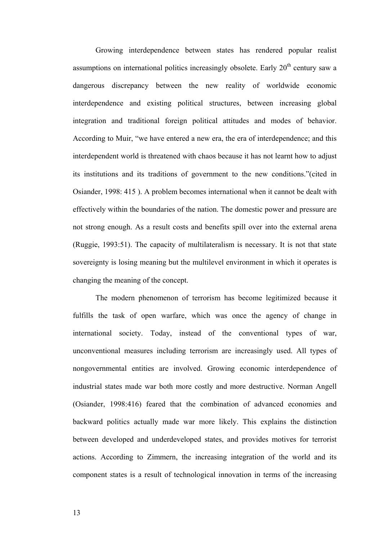Growing interdependence between states has rendered popular realist assumptions on international politics increasingly obsolete. Early  $20<sup>th</sup>$  century saw a dangerous discrepancy between the new reality of worldwide economic interdependence and existing political structures, between increasing global integration and traditional foreign political attitudes and modes of behavior. According to Muir, "we have entered a new era, the era of interdependence; and this interdependent world is threatened with chaos because it has not learnt how to adjust its institutions and its traditions of government to the new conditions."(cited in Osiander, 1998: 415 ). A problem becomes international when it cannot be dealt with effectively within the boundaries of the nation. The domestic power and pressure are not strong enough. As a result costs and benefits spill over into the external arena (Ruggie, 1993:51). The capacity of multilateralism is necessary. It is not that state sovereignty is losing meaning but the multilevel environment in which it operates is changing the meaning of the concept.

The modern phenomenon of terrorism has become legitimized because it fulfills the task of open warfare, which was once the agency of change in international society. Today, instead of the conventional types of war, unconventional measures including terrorism are increasingly used. All types of nongovernmental entities are involved. Growing economic interdependence of industrial states made war both more costly and more destructive. Norman Angell (Osiander, 1998:416) feared that the combination of advanced economies and backward politics actually made war more likely. This explains the distinction between developed and underdeveloped states, and provides motives for terrorist actions. According to Zimmern, the increasing integration of the world and its component states is a result of technological innovation in terms of the increasing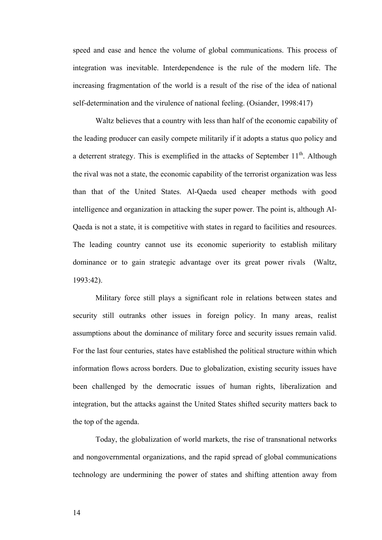speed and ease and hence the volume of global communications. This process of integration was inevitable. Interdependence is the rule of the modern life. The increasing fragmentation of the world is a result of the rise of the idea of national self-determination and the virulence of national feeling. (Osiander, 1998:417)

Waltz believes that a country with less than half of the economic capability of the leading producer can easily compete militarily if it adopts a status quo policy and a deterrent strategy. This is exemplified in the attacks of September  $11<sup>th</sup>$ . Although the rival was not a state, the economic capability of the terrorist organization was less than that of the United States. Al-Qaeda used cheaper methods with good intelligence and organization in attacking the super power. The point is, although Al-Qaeda is not a state, it is competitive with states in regard to facilities and resources. The leading country cannot use its economic superiority to establish military dominance or to gain strategic advantage over its great power rivals (Waltz, 1993:42).

Military force still plays a significant role in relations between states and security still outranks other issues in foreign policy. In many areas, realist assumptions about the dominance of military force and security issues remain valid. For the last four centuries, states have established the political structure within which information flows across borders. Due to globalization, existing security issues have been challenged by the democratic issues of human rights, liberalization and integration, but the attacks against the United States shifted security matters back to the top of the agenda.

Today, the globalization of world markets, the rise of transnational networks and nongovernmental organizations, and the rapid spread of global communications technology are undermining the power of states and shifting attention away from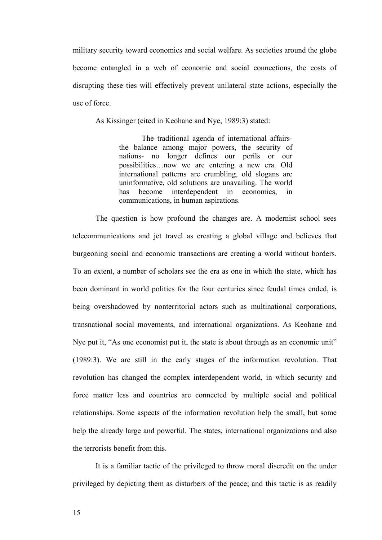military security toward economics and social welfare. As societies around the globe become entangled in a web of economic and social connections, the costs of disrupting these ties will effectively prevent unilateral state actions, especially the use of force.

As Kissinger (cited in Keohane and Nye, 1989:3) stated:

The traditional agenda of international affairsthe balance among major powers, the security of nations- no longer defines our perils or our possibilities…now we are entering a new era. Old international patterns are crumbling, old slogans are uninformative, old solutions are unavailing. The world has become interdependent in economics, in communications, in human aspirations.

The question is how profound the changes are. A modernist school sees telecommunications and jet travel as creating a global village and believes that burgeoning social and economic transactions are creating a world without borders. To an extent, a number of scholars see the era as one in which the state, which has been dominant in world politics for the four centuries since feudal times ended, is being overshadowed by nonterritorial actors such as multinational corporations, transnational social movements, and international organizations. As Keohane and Nye put it, "As one economist put it, the state is about through as an economic unit" (1989:3). We are still in the early stages of the information revolution. That revolution has changed the complex interdependent world, in which security and force matter less and countries are connected by multiple social and political relationships. Some aspects of the information revolution help the small, but some help the already large and powerful. The states, international organizations and also the terrorists benefit from this.

It is a familiar tactic of the privileged to throw moral discredit on the under privileged by depicting them as disturbers of the peace; and this tactic is as readily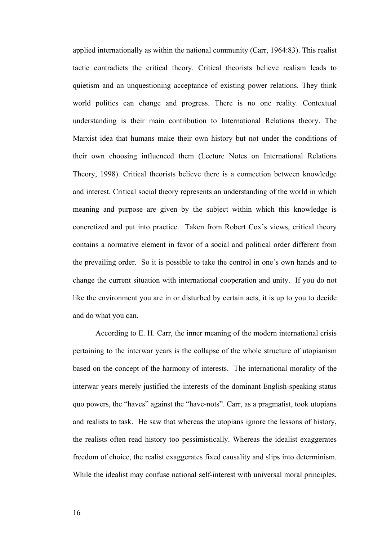applied internationally as within the national community (Carr, 1964:83). This realist tactic contradicts the critical theory. Critical theorists believe realism leads to quietism and an unquestioning acceptance of existing power relations. They think world politics can change and progress. There is no one reality. Contextual understanding is their main contribution to International Relations theory. The Marxist idea that humans make their own history but not under the conditions of their own choosing influenced them (Lecture Notes on International Relations Theory, 1998). Critical theorists believe there is a connection between knowledge and interest. Critical social theory represents an understanding of the world in which meaning and purpose are given by the subject within which this knowledge is concretized and put into practice. Taken from Robert Cox's views, critical theory contains a normative element in favor of a social and political order different from the prevailing order. So it is possible to take the control in one's own hands and to change the current situation with international cooperation and unity. If you do not like the environment you are in or disturbed by certain acts, it is up to you to decide and do what you can.

According to E. H. Carr, the inner meaning of the modern international crisis pertaining to the interwar years is the collapse of the whole structure of utopianism based on the concept of the harmony of interests. The international morality of the interwar years merely justified the interests of the dominant English-speaking status quo powers, the "haves" against the "have-nots". Carr, as a pragmatist, took utopians and realists to task. He saw that whereas the utopians ignore the lessons of history, the realists often read history too pessimistically. Whereas the idealist exaggerates freedom of choice, the realist exaggerates fixed causality and slips into determinism. While the idealist may confuse national self-interest with universal moral principles,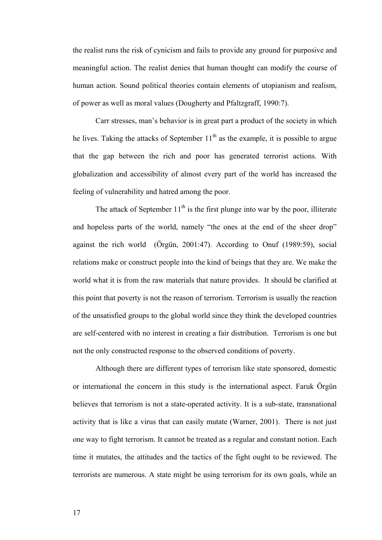the realist runs the risk of cynicism and fails to provide any ground for purposive and meaningful action. The realist denies that human thought can modify the course of human action. Sound political theories contain elements of utopianism and realism, of power as well as moral values (Dougherty and Pfaltzgraff, 1990:7).

Carr stresses, man's behavior is in great part a product of the society in which he lives. Taking the attacks of September  $11<sup>th</sup>$  as the example, it is possible to argue that the gap between the rich and poor has generated terrorist actions. With globalization and accessibility of almost every part of the world has increased the feeling of vulnerability and hatred among the poor.

The attack of September  $11<sup>th</sup>$  is the first plunge into war by the poor, illiterate and hopeless parts of the world, namely "the ones at the end of the sheer drop" against the rich world (Örgün, 2001:47). According to Onuf (1989:59), social relations make or construct people into the kind of beings that they are. We make the world what it is from the raw materials that nature provides. It should be clarified at this point that poverty is not the reason of terrorism. Terrorism is usually the reaction of the unsatisfied groups to the global world since they think the developed countries are self-centered with no interest in creating a fair distribution. Terrorism is one but not the only constructed response to the observed conditions of poverty.

Although there are different types of terrorism like state sponsored, domestic or international the concern in this study is the international aspect. Faruk Örgün believes that terrorism is not a state-operated activity. It is a sub-state, transnational activity that is like a virus that can easily mutate (Warner, 2001). There is not just one way to fight terrorism. It cannot be treated as a regular and constant notion. Each time it mutates, the attitudes and the tactics of the fight ought to be reviewed. The terrorists are numerous. A state might be using terrorism for its own goals, while an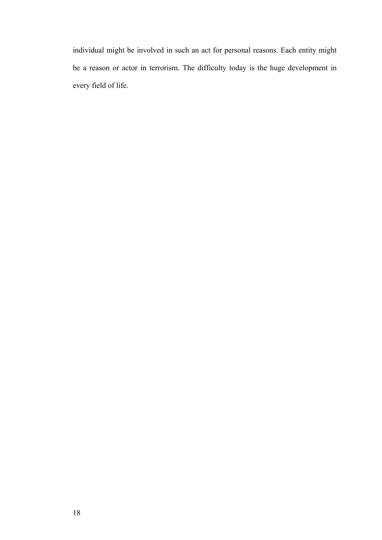individual might be involved in such an act for personal reasons. Each entity might be a reason or actor in terrorism. The difficulty today is the huge development in every field of life.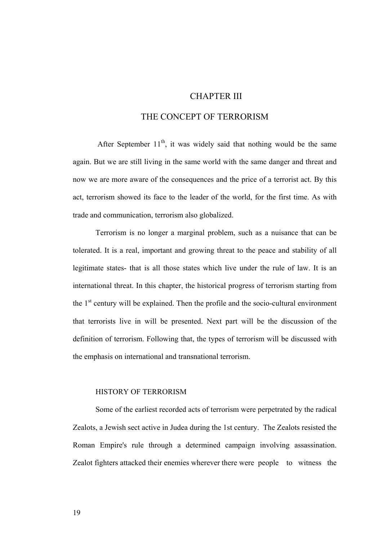## CHAPTER III

# THE CONCEPT OF TERRORISM

After September  $11<sup>th</sup>$ , it was widely said that nothing would be the same again. But we are still living in the same world with the same danger and threat and now we are more aware of the consequences and the price of a terrorist act. By this act, terrorism showed its face to the leader of the world, for the first time. As with trade and communication, terrorism also globalized.

Terrorism is no longer a marginal problem, such as a nuisance that can be tolerated. It is a real, important and growing threat to the peace and stability of all legitimate states- that is all those states which live under the rule of law. It is an international threat. In this chapter, the historical progress of terrorism starting from the  $1<sup>st</sup>$  century will be explained. Then the profile and the socio-cultural environment that terrorists live in will be presented. Next part will be the discussion of the definition of terrorism. Following that, the types of terrorism will be discussed with the emphasis on international and transnational terrorism.

#### HISTORY OF TERRORISM

Some of the earliest recorded acts of terrorism were perpetrated by the radical Zealots, a Jewish sect active in Judea during the 1st century. The Zealots resisted the Roman Empire's rule through a determined campaign involving assassination. Zealot fighters attacked their enemies wherever there were people to witness the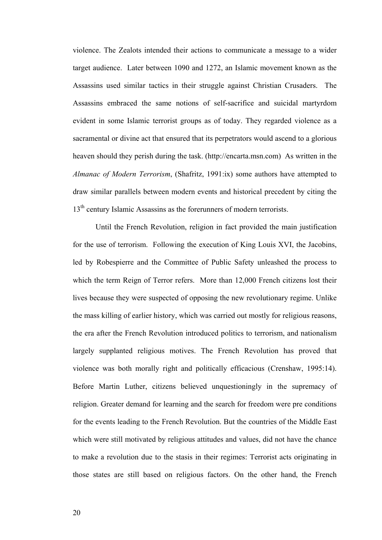violence. The Zealots intended their actions to communicate a message to a wider target audience. Later between 1090 and 1272, an Islamic movement known as the Assassins used similar tactics in their struggle against Christian Crusaders. The Assassins embraced the same notions of self-sacrifice and suicidal martyrdom evident in some Islamic terrorist groups as of today. They regarded violence as a sacramental or divine act that ensured that its perpetrators would ascend to a glorious heaven should they perish during the task. (http://encarta.msn.com) As written in the *Almanac of Modern Terrorism*, (Shafritz, 1991:ix) some authors have attempted to draw similar parallels between modern events and historical precedent by citing the 13<sup>th</sup> century Islamic Assassins as the forerunners of modern terrorists.

Until the French Revolution, religion in fact provided the main justification for the use of terrorism. Following the execution of King Louis XVI, the Jacobins, led by Robespierre and the Committee of Public Safety unleashed the process to which the term Reign of Terror refers. More than 12,000 French citizens lost their lives because they were suspected of opposing the new revolutionary regime. Unlike the mass killing of earlier history, which was carried out mostly for religious reasons, the era after the French Revolution introduced politics to terrorism, and nationalism largely supplanted religious motives. The French Revolution has proved that violence was both morally right and politically efficacious (Crenshaw, 1995:14). Before Martin Luther, citizens believed unquestioningly in the supremacy of religion. Greater demand for learning and the search for freedom were pre conditions for the events leading to the French Revolution. But the countries of the Middle East which were still motivated by religious attitudes and values, did not have the chance to make a revolution due to the stasis in their regimes: Terrorist acts originating in those states are still based on religious factors. On the other hand, the French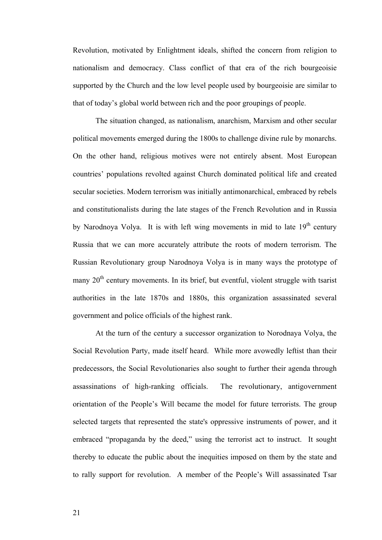Revolution, motivated by Enlightment ideals, shifted the concern from religion to nationalism and democracy. Class conflict of that era of the rich bourgeoisie supported by the Church and the low level people used by bourgeoisie are similar to that of today's global world between rich and the poor groupings of people.

The situation changed, as nationalism, anarchism, Marxism and other secular political movements emerged during the 1800s to challenge divine rule by monarchs. On the other hand, religious motives were not entirely absent. Most European countries' populations revolted against Church dominated political life and created secular societies. Modern terrorism was initially antimonarchical, embraced by rebels and constitutionalists during the late stages of the French Revolution and in Russia by Narodnoya Volya. It is with left wing movements in mid to late  $19<sup>th</sup>$  century Russia that we can more accurately attribute the roots of modern terrorism. The Russian Revolutionary group Narodnoya Volya is in many ways the prototype of many  $20<sup>th</sup>$  century movements. In its brief, but eventful, violent struggle with tsarist authorities in the late 1870s and 1880s, this organization assassinated several government and police officials of the highest rank.

At the turn of the century a successor organization to Norodnaya Volya, the Social Revolution Party, made itself heard. While more avowedly leftist than their predecessors, the Social Revolutionaries also sought to further their agenda through assassinations of high-ranking officials. The revolutionary, antigovernment orientation of the People's Will became the model for future terrorists. The group selected targets that represented the state's oppressive instruments of power, and it embraced "propaganda by the deed," using the terrorist act to instruct. It sought thereby to educate the public about the inequities imposed on them by the state and to rally support for revolution. A member of the People's Will assassinated Tsar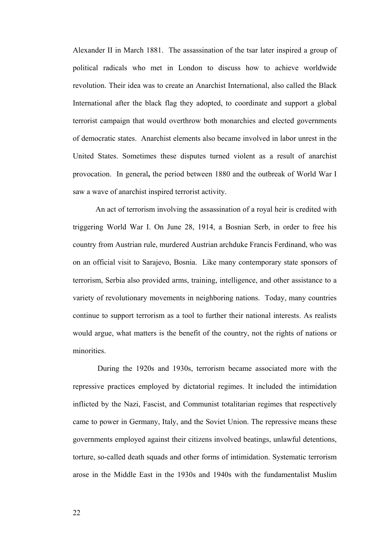Alexander II in March 1881. The assassination of the tsar later inspired a group of political radicals who met in London to discuss how to achieve worldwide revolution. Their idea was to create an Anarchist International, also called the Black International after the black flag they adopted, to coordinate and support a global terrorist campaign that would overthrow both monarchies and elected governments of democratic states. Anarchist elements also became involved in labor unrest in the United States. Sometimes these disputes turned violent as a result of anarchist provocation. In general**,** the period between 1880 and the outbreak of World War I saw a wave of anarchist inspired terrorist activity.

An act of terrorism involving the assassination of a royal heir is credited with triggering World War I. On June 28, 1914, a Bosnian Serb, in order to free his country from Austrian rule, murdered Austrian archduke Francis Ferdinand, who was on an official visit to Sarajevo, Bosnia. Like many contemporary state sponsors of terrorism, Serbia also provided arms, training, intelligence, and other assistance to a variety of revolutionary movements in neighboring nations. Today, many countries continue to support terrorism as a tool to further their national interests. As realists would argue, what matters is the benefit of the country, not the rights of nations or minorities.

 During the 1920s and 1930s, terrorism became associated more with the repressive practices employed by dictatorial regimes. It included the intimidation inflicted by the Nazi, Fascist, and Communist totalitarian regimes that respectively came to power in Germany, Italy, and the Soviet Union. The repressive means these governments employed against their citizens involved beatings, unlawful detentions, torture, so-called death squads and other forms of intimidation. Systematic terrorism arose in the Middle East in the 1930s and 1940s with the fundamentalist Muslim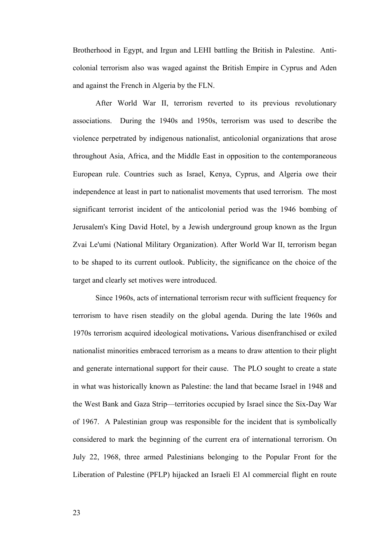Brotherhood in Egypt, and Irgun and LEHI battling the British in Palestine. Anticolonial terrorism also was waged against the British Empire in Cyprus and Aden and against the French in Algeria by the FLN.

After World War II, terrorism reverted to its previous revolutionary associations. During the 1940s and 1950s, terrorism was used to describe the violence perpetrated by indigenous nationalist, anticolonial organizations that arose throughout Asia, Africa, and the Middle East in opposition to the contemporaneous European rule. Countries such as Israel, Kenya, Cyprus, and Algeria owe their independence at least in part to nationalist movements that used terrorism. The most significant terrorist incident of the anticolonial period was the 1946 bombing of Jerusalem's King David Hotel, by a Jewish underground group known as the Irgun Zvai Le'umi (National Military Organization). After World War II, terrorism began to be shaped to its current outlook. Publicity, the significance on the choice of the target and clearly set motives were introduced.

Since 1960s, acts of international terrorism recur with sufficient frequency for terrorism to have risen steadily on the global agenda. During the late 1960s and 1970s terrorism acquired ideological motivations**.** Various disenfranchised or exiled nationalist minorities embraced terrorism as a means to draw attention to their plight and generate international support for their cause. The PLO sought to create a state in what was historically known as Palestine: the land that became Israel in 1948 and the West Bank and Gaza Strip—territories occupied by Israel since the Six-Day War of 1967. A Palestinian group was responsible for the incident that is symbolically considered to mark the beginning of the current era of international terrorism. On July 22, 1968, three armed Palestinians belonging to the Popular Front for the Liberation of Palestine (PFLP) hijacked an Israeli El Al commercial flight en route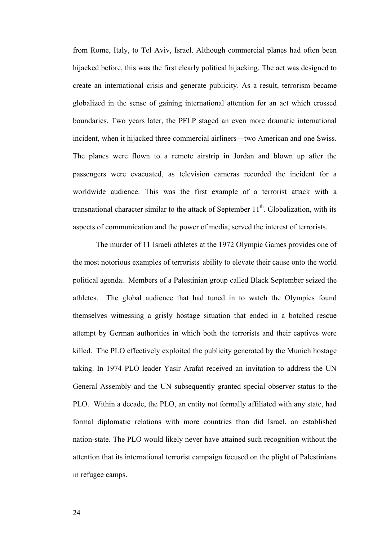from Rome, Italy, to Tel Aviv, Israel. Although commercial planes had often been hijacked before, this was the first clearly political hijacking. The act was designed to create an international crisis and generate publicity. As a result, terrorism became globalized in the sense of gaining international attention for an act which crossed boundaries. Two years later, the PFLP staged an even more dramatic international incident, when it hijacked three commercial airliners—two American and one Swiss. The planes were flown to a remote airstrip in Jordan and blown up after the passengers were evacuated, as television cameras recorded the incident for a worldwide audience. This was the first example of a terrorist attack with a transnational character similar to the attack of September  $11<sup>th</sup>$ . Globalization, with its aspects of communication and the power of media, served the interest of terrorists.

 The murder of 11 Israeli athletes at the 1972 Olympic Games provides one of the most notorious examples of terrorists' ability to elevate their cause onto the world political agenda. Members of a Palestinian group called Black September seized the athletes. The global audience that had tuned in to watch the Olympics found themselves witnessing a grisly hostage situation that ended in a botched rescue attempt by German authorities in which both the terrorists and their captives were killed. The PLO effectively exploited the publicity generated by the Munich hostage taking. In 1974 PLO leader Yasir Arafat received an invitation to address the UN General Assembly and the UN subsequently granted special observer status to the PLO. Within a decade, the PLO, an entity not formally affiliated with any state, had formal diplomatic relations with more countries than did Israel, an established nation-state. The PLO would likely never have attained such recognition without the attention that its international terrorist campaign focused on the plight of Palestinians in refugee camps.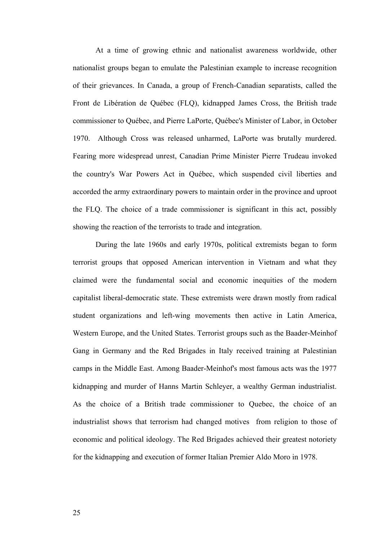At a time of growing ethnic and nationalist awareness worldwide, other nationalist groups began to emulate the Palestinian example to increase recognition of their grievances. In Canada, a group of French-Canadian separatists, called the Front de Libération de Québec (FLQ), kidnapped James Cross, the British trade commissioner to Québec, and Pierre LaPorte, Québec's Minister of Labor, in October 1970. Although Cross was released unharmed, LaPorte was brutally murdered. Fearing more widespread unrest, Canadian Prime Minister Pierre Trudeau invoked the country's War Powers Act in Québec, which suspended civil liberties and accorded the army extraordinary powers to maintain order in the province and uproot the FLQ. The choice of a trade commissioner is significant in this act, possibly showing the reaction of the terrorists to trade and integration.

During the late 1960s and early 1970s, political extremists began to form terrorist groups that opposed American intervention in Vietnam and what they claimed were the fundamental social and economic inequities of the modern capitalist liberal-democratic state. These extremists were drawn mostly from radical student organizations and left-wing movements then active in Latin America, Western Europe, and the United States. Terrorist groups such as the Baader-Meinhof Gang in Germany and the Red Brigades in Italy received training at Palestinian camps in the Middle East. Among Baader-Meinhof's most famous acts was the 1977 kidnapping and murder of Hanns Martin Schleyer, a wealthy German industrialist. As the choice of a British trade commissioner to Quebec, the choice of an industrialist shows that terrorism had changed motives from religion to those of economic and political ideology. The Red Brigades achieved their greatest notoriety for the kidnapping and execution of former Italian Premier Aldo Moro in 1978.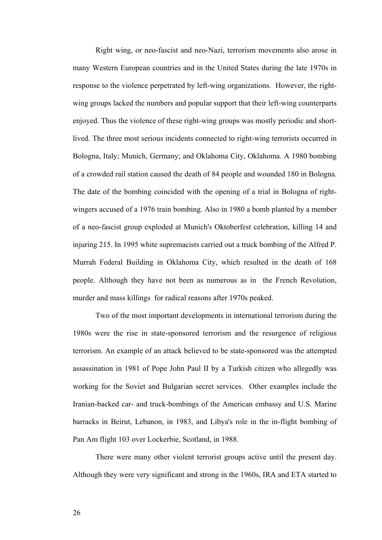Right wing, or neo-fascist and neo-Nazi, terrorism movements also arose in many Western European countries and in the United States during the late 1970s in response to the violence perpetrated by left-wing organizations. However, the rightwing groups lacked the numbers and popular support that their left-wing counterparts enjoyed. Thus the violence of these right-wing groups was mostly periodic and shortlived. The three most serious incidents connected to right-wing terrorists occurred in Bologna, Italy; Munich, Germany; and Oklahoma City, Oklahoma. A 1980 bombing of a crowded rail station caused the death of 84 people and wounded 180 in Bologna. The date of the bombing coincided with the opening of a trial in Bologna of rightwingers accused of a 1976 train bombing. Also in 1980 a bomb planted by a member of a neo-fascist group exploded at Munich's Oktoberfest celebration, killing 14 and injuring 215. In 1995 white supremacists carried out a truck bombing of the Alfred P. Murrah Federal Building in Oklahoma City, which resulted in the death of 168 people. Although they have not been as numerous as in the French Revolution, murder and mass killings for radical reasons after 1970s peaked.

Two of the most important developments in international terrorism during the 1980s were the rise in state-sponsored terrorism and the resurgence of religious terrorism. An example of an attack believed to be state-sponsored was the attempted assassination in 1981 of Pope John Paul II by a Turkish citizen who allegedly was working for the Soviet and Bulgarian secret services. Other examples include the Iranian-backed car- and truck-bombings of the American embassy and U.S. Marine barracks in Beirut, Lebanon, in 1983, and Libya's role in the in-flight bombing of Pan Am flight 103 over Lockerbie, Scotland, in 1988.

There were many other violent terrorist groups active until the present day. Although they were very significant and strong in the 1960s, IRA and ETA started to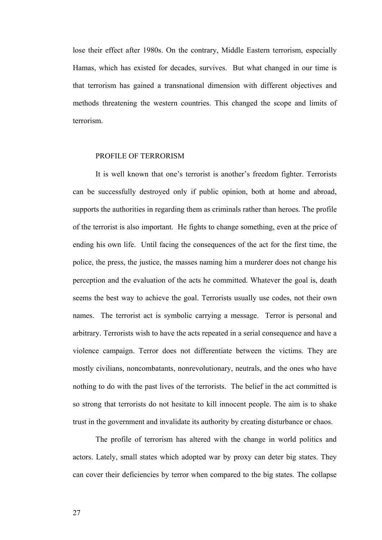lose their effect after 1980s. On the contrary, Middle Eastern terrorism, especially Hamas, which has existed for decades, survives. But what changed in our time is that terrorism has gained a transnational dimension with different objectives and methods threatening the western countries. This changed the scope and limits of terrorism.

#### PROFILE OF TERRORISM

It is well known that one's terrorist is another's freedom fighter. Terrorists can be successfully destroyed only if public opinion, both at home and abroad, supports the authorities in regarding them as criminals rather than heroes. The profile of the terrorist is also important. He fights to change something, even at the price of ending his own life. Until facing the consequences of the act for the first time, the police, the press, the justice, the masses naming him a murderer does not change his perception and the evaluation of the acts he committed. Whatever the goal is, death seems the best way to achieve the goal. Terrorists usually use codes, not their own names. The terrorist act is symbolic carrying a message. Terror is personal and arbitrary. Terrorists wish to have the acts repeated in a serial consequence and have a violence campaign. Terror does not differentiate between the victims. They are mostly civilians, noncombatants, nonrevolutionary, neutrals, and the ones who have nothing to do with the past lives of the terrorists. The belief in the act committed is so strong that terrorists do not hesitate to kill innocent people. The aim is to shake trust in the government and invalidate its authority by creating disturbance or chaos.

The profile of terrorism has altered with the change in world politics and actors. Lately, small states which adopted war by proxy can deter big states. They can cover their deficiencies by terror when compared to the big states. The collapse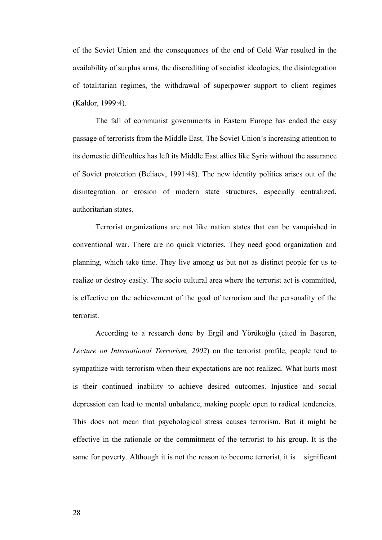of the Soviet Union and the consequences of the end of Cold War resulted in the availability of surplus arms, the discrediting of socialist ideologies, the disintegration of totalitarian regimes, the withdrawal of superpower support to client regimes (Kaldor, 1999:4).

The fall of communist governments in Eastern Europe has ended the easy passage of terrorists from the Middle East. The Soviet Union's increasing attention to its domestic difficulties has left its Middle East allies like Syria without the assurance of Soviet protection (Beliaev, 1991:48). The new identity politics arises out of the disintegration or erosion of modern state structures, especially centralized, authoritarian states.

Terrorist organizations are not like nation states that can be vanquished in conventional war. There are no quick victories. They need good organization and planning, which take time. They live among us but not as distinct people for us to realize or destroy easily. The socio cultural area where the terrorist act is committed, is effective on the achievement of the goal of terrorism and the personality of the terrorist.

According to a research done by Ergil and Yörükoğlu (cited in Başeren, *Lecture on International Terrorism, 2002*) on the terrorist profile, people tend to sympathize with terrorism when their expectations are not realized. What hurts most is their continued inability to achieve desired outcomes. Injustice and social depression can lead to mental unbalance, making people open to radical tendencies. This does not mean that psychological stress causes terrorism. But it might be effective in the rationale or the commitment of the terrorist to his group. It is the same for poverty. Although it is not the reason to become terrorist, it is significant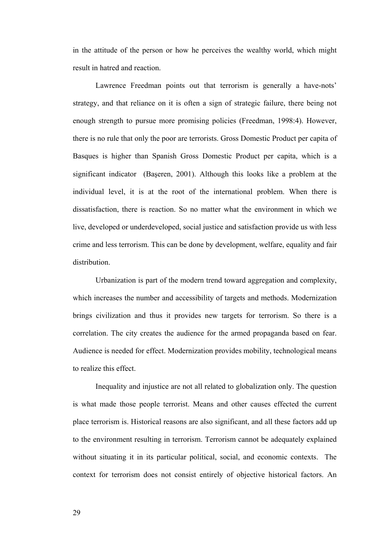in the attitude of the person or how he perceives the wealthy world, which might result in hatred and reaction.

Lawrence Freedman points out that terrorism is generally a have-nots' strategy, and that reliance on it is often a sign of strategic failure, there being not enough strength to pursue more promising policies (Freedman, 1998:4). However, there is no rule that only the poor are terrorists. Gross Domestic Product per capita of Basques is higher than Spanish Gross Domestic Product per capita, which is a significant indicator (Başeren, 2001). Although this looks like a problem at the individual level, it is at the root of the international problem. When there is dissatisfaction, there is reaction. So no matter what the environment in which we live, developed or underdeveloped, social justice and satisfaction provide us with less crime and less terrorism. This can be done by development, welfare, equality and fair distribution.

Urbanization is part of the modern trend toward aggregation and complexity, which increases the number and accessibility of targets and methods. Modernization brings civilization and thus it provides new targets for terrorism. So there is a correlation. The city creates the audience for the armed propaganda based on fear. Audience is needed for effect. Modernization provides mobility, technological means to realize this effect.

Inequality and injustice are not all related to globalization only. The question is what made those people terrorist. Means and other causes effected the current place terrorism is. Historical reasons are also significant, and all these factors add up to the environment resulting in terrorism. Terrorism cannot be adequately explained without situating it in its particular political, social, and economic contexts. The context for terrorism does not consist entirely of objective historical factors. An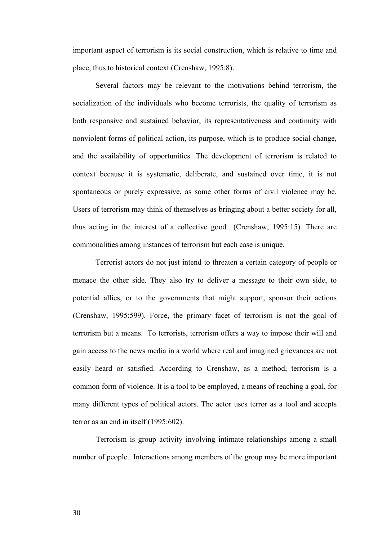important aspect of terrorism is its social construction, which is relative to time and place, thus to historical context (Crenshaw, 1995:8).

Several factors may be relevant to the motivations behind terrorism, the socialization of the individuals who become terrorists, the quality of terrorism as both responsive and sustained behavior, its representativeness and continuity with nonviolent forms of political action, its purpose, which is to produce social change, and the availability of opportunities. The development of terrorism is related to context because it is systematic, deliberate, and sustained over time, it is not spontaneous or purely expressive, as some other forms of civil violence may be. Users of terrorism may think of themselves as bringing about a better society for all, thus acting in the interest of a collective good (Crenshaw, 1995:15). There are commonalities among instances of terrorism but each case is unique.

Terrorist actors do not just intend to threaten a certain category of people or menace the other side. They also try to deliver a message to their own side, to potential allies, or to the governments that might support, sponsor their actions (Crenshaw, 1995:599). Force, the primary facet of terrorism is not the goal of terrorism but a means. To terrorists, terrorism offers a way to impose their will and gain access to the news media in a world where real and imagined grievances are not easily heard or satisfied. According to Crenshaw, as a method, terrorism is a common form of violence. It is a tool to be employed, a means of reaching a goal, for many different types of political actors. The actor uses terror as a tool and accepts terror as an end in itself (1995:602).

 Terrorism is group activity involving intimate relationships among a small number of people. Interactions among members of the group may be more important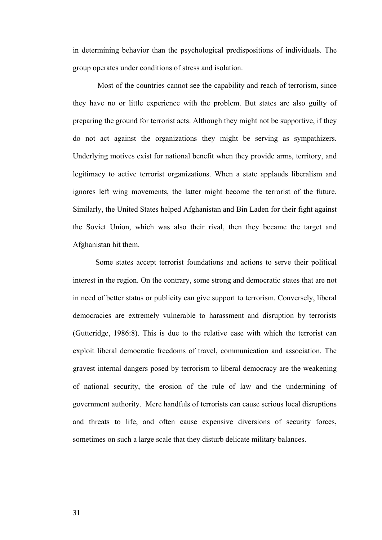in determining behavior than the psychological predispositions of individuals. The group operates under conditions of stress and isolation.

 Most of the countries cannot see the capability and reach of terrorism, since they have no or little experience with the problem. But states are also guilty of preparing the ground for terrorist acts. Although they might not be supportive, if they do not act against the organizations they might be serving as sympathizers. Underlying motives exist for national benefit when they provide arms, territory, and legitimacy to active terrorist organizations. When a state applauds liberalism and ignores left wing movements, the latter might become the terrorist of the future. Similarly, the United States helped Afghanistan and Bin Laden for their fight against the Soviet Union, which was also their rival, then they became the target and Afghanistan hit them.

Some states accept terrorist foundations and actions to serve their political interest in the region. On the contrary, some strong and democratic states that are not in need of better status or publicity can give support to terrorism. Conversely, liberal democracies are extremely vulnerable to harassment and disruption by terrorists (Gutteridge, 1986:8). This is due to the relative ease with which the terrorist can exploit liberal democratic freedoms of travel, communication and association. The gravest internal dangers posed by terrorism to liberal democracy are the weakening of national security, the erosion of the rule of law and the undermining of government authority. Mere handfuls of terrorists can cause serious local disruptions and threats to life, and often cause expensive diversions of security forces, sometimes on such a large scale that they disturb delicate military balances.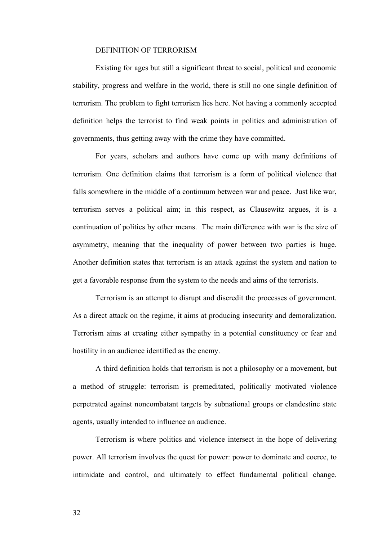### DEFINITION OF TERRORISM

Existing for ages but still a significant threat to social, political and economic stability, progress and welfare in the world, there is still no one single definition of terrorism. The problem to fight terrorism lies here. Not having a commonly accepted definition helps the terrorist to find weak points in politics and administration of governments, thus getting away with the crime they have committed.

For years, scholars and authors have come up with many definitions of terrorism. One definition claims that terrorism is a form of political violence that falls somewhere in the middle of a continuum between war and peace. Just like war, terrorism serves a political aim; in this respect, as Clausewitz argues, it is a continuation of politics by other means. The main difference with war is the size of asymmetry, meaning that the inequality of power between two parties is huge. Another definition states that terrorism is an attack against the system and nation to get a favorable response from the system to the needs and aims of the terrorists.

Terrorism is an attempt to disrupt and discredit the processes of government. As a direct attack on the regime, it aims at producing insecurity and demoralization. Terrorism aims at creating either sympathy in a potential constituency or fear and hostility in an audience identified as the enemy.

A third definition holds that terrorism is not a philosophy or a movement, but a method of struggle: terrorism is premeditated, politically motivated violence perpetrated against noncombatant targets by subnational groups or clandestine state agents, usually intended to influence an audience.

Terrorism is where politics and violence intersect in the hope of delivering power. All terrorism involves the quest for power: power to dominate and coerce, to intimidate and control, and ultimately to effect fundamental political change.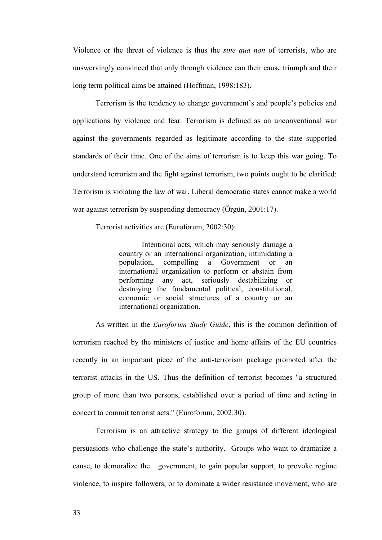Violence or the threat of violence is thus the *sine qua non* of terrorists, who are unswervingly convinced that only through violence can their cause triumph and their long term political aims be attained (Hoffman, 1998:183).

Terrorism is the tendency to change government's and people's policies and applications by violence and fear. Terrorism is defined as an unconventional war against the governments regarded as legitimate according to the state supported standards of their time. One of the aims of terrorism is to keep this war going. To understand terrorism and the fight against terrorism, two points ought to be clarified: Terrorism is violating the law of war. Liberal democratic states cannot make a world war against terrorism by suspending democracy (Örgün, 2001:17).

Terrorist activities are (Euroforum, 2002:30):

Intentional acts, which may seriously damage a country or an international organization, intimidating a population, compelling a Government or an international organization to perform or abstain from performing any act, seriously destabilizing or destroying the fundamental political, constitutional, economic or social structures of a country or an international organization.

As written in the *Euroforum Study Guide*, this is the common definition of terrorism reached by the ministers of justice and home affairs of the EU countries recently in an important piece of the anti-terrorism package promoted after the terrorist attacks in the US. Thus the definition of terrorist becomes "a structured group of more than two persons, established over a period of time and acting in concert to commit terrorist acts." (Euroforum, 2002:30).

Terrorism is an attractive strategy to the groups of different ideological persuasions who challenge the state's authority. Groups who want to dramatize a cause, to demoralize the government, to gain popular support, to provoke regime violence, to inspire followers, or to dominate a wider resistance movement, who are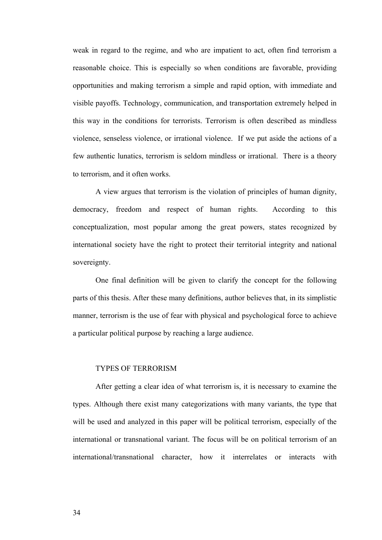weak in regard to the regime, and who are impatient to act, often find terrorism a reasonable choice. This is especially so when conditions are favorable, providing opportunities and making terrorism a simple and rapid option, with immediate and visible payoffs. Technology, communication, and transportation extremely helped in this way in the conditions for terrorists. Terrorism is often described as mindless violence, senseless violence, or irrational violence. If we put aside the actions of a few authentic lunatics, terrorism is seldom mindless or irrational. There is a theory to terrorism, and it often works.

A view argues that terrorism is the violation of principles of human dignity, democracy, freedom and respect of human rights. According to this conceptualization, most popular among the great powers, states recognized by international society have the right to protect their territorial integrity and national sovereignty.

One final definition will be given to clarify the concept for the following parts of this thesis. After these many definitions, author believes that, in its simplistic manner, terrorism is the use of fear with physical and psychological force to achieve a particular political purpose by reaching a large audience.

#### TYPES OF TERRORISM

After getting a clear idea of what terrorism is, it is necessary to examine the types. Although there exist many categorizations with many variants, the type that will be used and analyzed in this paper will be political terrorism, especially of the international or transnational variant. The focus will be on political terrorism of an international/transnational character, how it interrelates or interacts with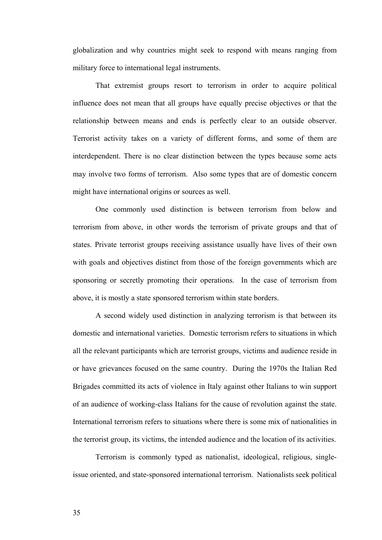globalization and why countries might seek to respond with means ranging from military force to international legal instruments.

That extremist groups resort to terrorism in order to acquire political influence does not mean that all groups have equally precise objectives or that the relationship between means and ends is perfectly clear to an outside observer. Terrorist activity takes on a variety of different forms, and some of them are interdependent. There is no clear distinction between the types because some acts may involve two forms of terrorism. Also some types that are of domestic concern might have international origins or sources as well.

One commonly used distinction is between terrorism from below and terrorism from above, in other words the terrorism of private groups and that of states. Private terrorist groups receiving assistance usually have lives of their own with goals and objectives distinct from those of the foreign governments which are sponsoring or secretly promoting their operations. In the case of terrorism from above, it is mostly a state sponsored terrorism within state borders.

A second widely used distinction in analyzing terrorism is that between its domestic and international varieties. Domestic terrorism refers to situations in which all the relevant participants which are terrorist groups, victims and audience reside in or have grievances focused on the same country. During the 1970s the Italian Red Brigades committed its acts of violence in Italy against other Italians to win support of an audience of working-class Italians for the cause of revolution against the state. International terrorism refers to situations where there is some mix of nationalities in the terrorist group, its victims, the intended audience and the location of its activities.

Terrorism is commonly typed as nationalist, ideological, religious, singleissue oriented, and state-sponsored international terrorism. Nationalists seek political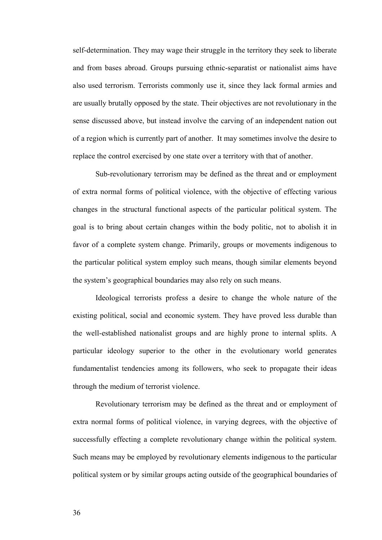self-determination. They may wage their struggle in the territory they seek to liberate and from bases abroad. Groups pursuing ethnic-separatist or nationalist aims have also used terrorism. Terrorists commonly use it, since they lack formal armies and are usually brutally opposed by the state. Their objectives are not revolutionary in the sense discussed above, but instead involve the carving of an independent nation out of a region which is currently part of another. It may sometimes involve the desire to replace the control exercised by one state over a territory with that of another.

Sub-revolutionary terrorism may be defined as the threat and or employment of extra normal forms of political violence, with the objective of effecting various changes in the structural functional aspects of the particular political system. The goal is to bring about certain changes within the body politic, not to abolish it in favor of a complete system change. Primarily, groups or movements indigenous to the particular political system employ such means, though similar elements beyond the system's geographical boundaries may also rely on such means.

Ideological terrorists profess a desire to change the whole nature of the existing political, social and economic system. They have proved less durable than the well-established nationalist groups and are highly prone to internal splits. A particular ideology superior to the other in the evolutionary world generates fundamentalist tendencies among its followers, who seek to propagate their ideas through the medium of terrorist violence.

Revolutionary terrorism may be defined as the threat and or employment of extra normal forms of political violence, in varying degrees, with the objective of successfully effecting a complete revolutionary change within the political system. Such means may be employed by revolutionary elements indigenous to the particular political system or by similar groups acting outside of the geographical boundaries of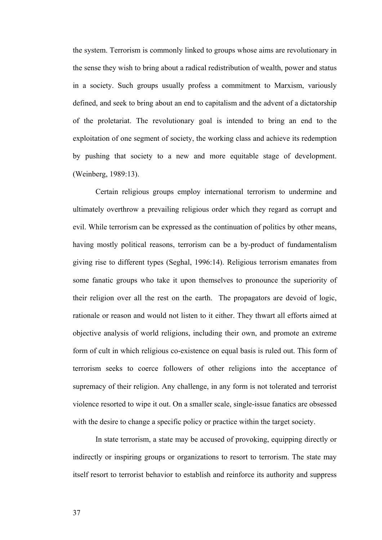the system. Terrorism is commonly linked to groups whose aims are revolutionary in the sense they wish to bring about a radical redistribution of wealth, power and status in a society. Such groups usually profess a commitment to Marxism, variously defined, and seek to bring about an end to capitalism and the advent of a dictatorship of the proletariat. The revolutionary goal is intended to bring an end to the exploitation of one segment of society, the working class and achieve its redemption by pushing that society to a new and more equitable stage of development. (Weinberg, 1989:13).

Certain religious groups employ international terrorism to undermine and ultimately overthrow a prevailing religious order which they regard as corrupt and evil. While terrorism can be expressed as the continuation of politics by other means, having mostly political reasons, terrorism can be a by-product of fundamentalism giving rise to different types (Seghal, 1996:14). Religious terrorism emanates from some fanatic groups who take it upon themselves to pronounce the superiority of their religion over all the rest on the earth. The propagators are devoid of logic, rationale or reason and would not listen to it either. They thwart all efforts aimed at objective analysis of world religions, including their own, and promote an extreme form of cult in which religious co-existence on equal basis is ruled out. This form of terrorism seeks to coerce followers of other religions into the acceptance of supremacy of their religion. Any challenge, in any form is not tolerated and terrorist violence resorted to wipe it out. On a smaller scale, single-issue fanatics are obsessed with the desire to change a specific policy or practice within the target society.

In state terrorism, a state may be accused of provoking, equipping directly or indirectly or inspiring groups or organizations to resort to terrorism. The state may itself resort to terrorist behavior to establish and reinforce its authority and suppress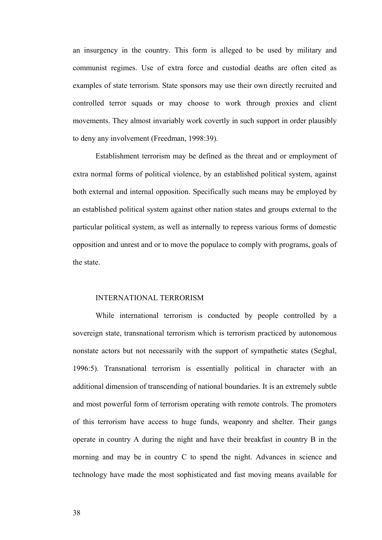an insurgency in the country. This form is alleged to be used by military and communist regimes. Use of extra force and custodial deaths are often cited as examples of state terrorism. State sponsors may use their own directly recruited and controlled terror squads or may choose to work through proxies and client movements. They almost invariably work covertly in such support in order plausibly to deny any involvement (Freedman, 1998:39).

Establishment terrorism may be defined as the threat and or employment of extra normal forms of political violence, by an established political system, against both external and internal opposition. Specifically such means may be employed by an established political system against other nation states and groups external to the particular political system, as well as internally to repress various forms of domestic opposition and unrest and or to move the populace to comply with programs, goals of the state.

#### INTERNATIONAL TERRORISM

While international terrorism is conducted by people controlled by a sovereign state, transnational terrorism which is terrorism practiced by autonomous nonstate actors but not necessarily with the support of sympathetic states (Seghal, 1996:5). Transnational terrorism is essentially political in character with an additional dimension of transcending of national boundaries. It is an extremely subtle and most powerful form of terrorism operating with remote controls. The promoters of this terrorism have access to huge funds, weaponry and shelter. Their gangs operate in country A during the night and have their breakfast in country B in the morning and may be in country C to spend the night. Advances in science and technology have made the most sophisticated and fast moving means available for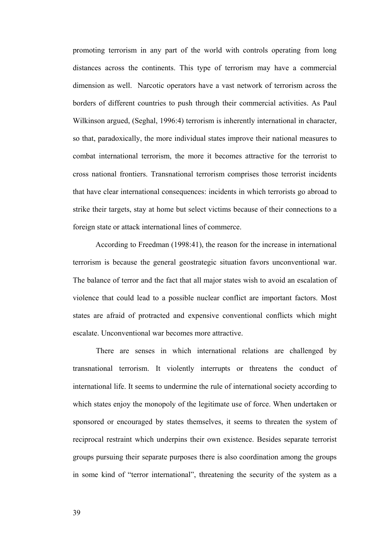promoting terrorism in any part of the world with controls operating from long distances across the continents. This type of terrorism may have a commercial dimension as well. Narcotic operators have a vast network of terrorism across the borders of different countries to push through their commercial activities. As Paul Wilkinson argued, (Seghal, 1996:4) terrorism is inherently international in character, so that, paradoxically, the more individual states improve their national measures to combat international terrorism, the more it becomes attractive for the terrorist to cross national frontiers. Transnational terrorism comprises those terrorist incidents that have clear international consequences: incidents in which terrorists go abroad to strike their targets, stay at home but select victims because of their connections to a foreign state or attack international lines of commerce.

According to Freedman (1998:41), the reason for the increase in international terrorism is because the general geostrategic situation favors unconventional war. The balance of terror and the fact that all major states wish to avoid an escalation of violence that could lead to a possible nuclear conflict are important factors. Most states are afraid of protracted and expensive conventional conflicts which might escalate. Unconventional war becomes more attractive.

There are senses in which international relations are challenged by transnational terrorism. It violently interrupts or threatens the conduct of international life. It seems to undermine the rule of international society according to which states enjoy the monopoly of the legitimate use of force. When undertaken or sponsored or encouraged by states themselves, it seems to threaten the system of reciprocal restraint which underpins their own existence. Besides separate terrorist groups pursuing their separate purposes there is also coordination among the groups in some kind of "terror international", threatening the security of the system as a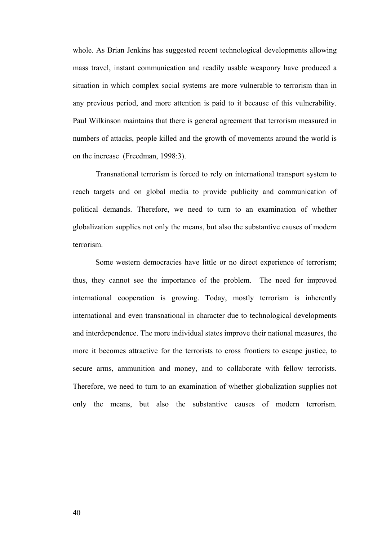whole. As Brian Jenkins has suggested recent technological developments allowing mass travel, instant communication and readily usable weaponry have produced a situation in which complex social systems are more vulnerable to terrorism than in any previous period, and more attention is paid to it because of this vulnerability. Paul Wilkinson maintains that there is general agreement that terrorism measured in numbers of attacks, people killed and the growth of movements around the world is on the increase (Freedman, 1998:3).

Transnational terrorism is forced to rely on international transport system to reach targets and on global media to provide publicity and communication of political demands. Therefore, we need to turn to an examination of whether globalization supplies not only the means, but also the substantive causes of modern terrorism.

Some western democracies have little or no direct experience of terrorism; thus, they cannot see the importance of the problem. The need for improved international cooperation is growing. Today, mostly terrorism is inherently international and even transnational in character due to technological developments and interdependence. The more individual states improve their national measures, the more it becomes attractive for the terrorists to cross frontiers to escape justice, to secure arms, ammunition and money, and to collaborate with fellow terrorists. Therefore, we need to turn to an examination of whether globalization supplies not only the means, but also the substantive causes of modern terrorism.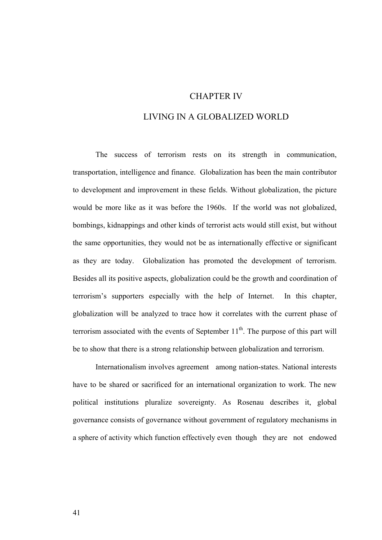## CHAPTER IV

# LIVING IN A GLOBALIZED WORLD

The success of terrorism rests on its strength in communication, transportation, intelligence and finance. Globalization has been the main contributor to development and improvement in these fields. Without globalization, the picture would be more like as it was before the 1960s. If the world was not globalized, bombings, kidnappings and other kinds of terrorist acts would still exist, but without the same opportunities, they would not be as internationally effective or significant as they are today. Globalization has promoted the development of terrorism. Besides all its positive aspects, globalization could be the growth and coordination of terrorism's supporters especially with the help of Internet. In this chapter, globalization will be analyzed to trace how it correlates with the current phase of terrorism associated with the events of September  $11<sup>th</sup>$ . The purpose of this part will be to show that there is a strong relationship between globalization and terrorism.

Internationalism involves agreement among nation-states. National interests have to be shared or sacrificed for an international organization to work. The new political institutions pluralize sovereignty. As Rosenau describes it, global governance consists of governance without government of regulatory mechanisms in a sphere of activity which function effectively even though they are not endowed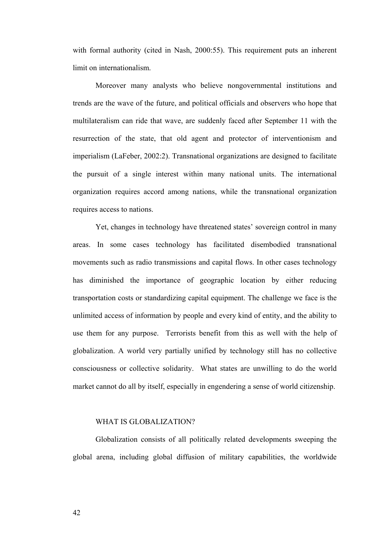with formal authority (cited in Nash, 2000:55). This requirement puts an inherent limit on internationalism.

Moreover many analysts who believe nongovernmental institutions and trends are the wave of the future, and political officials and observers who hope that multilateralism can ride that wave, are suddenly faced after September 11 with the resurrection of the state, that old agent and protector of interventionism and imperialism (LaFeber, 2002:2). Transnational organizations are designed to facilitate the pursuit of a single interest within many national units. The international organization requires accord among nations, while the transnational organization requires access to nations.

Yet, changes in technology have threatened states' sovereign control in many areas. In some cases technology has facilitated disembodied transnational movements such as radio transmissions and capital flows. In other cases technology has diminished the importance of geographic location by either reducing transportation costs or standardizing capital equipment. The challenge we face is the unlimited access of information by people and every kind of entity, and the ability to use them for any purpose. Terrorists benefit from this as well with the help of globalization. A world very partially unified by technology still has no collective consciousness or collective solidarity. What states are unwilling to do the world market cannot do all by itself, especially in engendering a sense of world citizenship.

#### WHAT IS GLOBALIZATION?

Globalization consists of all politically related developments sweeping the global arena, including global diffusion of military capabilities, the worldwide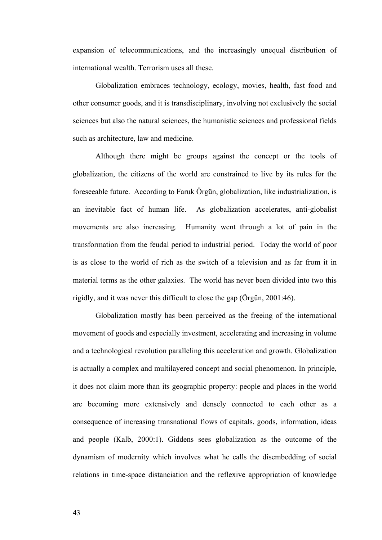expansion of telecommunications, and the increasingly unequal distribution of international wealth. Terrorism uses all these.

Globalization embraces technology, ecology, movies, health, fast food and other consumer goods, and it is transdisciplinary, involving not exclusively the social sciences but also the natural sciences, the humanistic sciences and professional fields such as architecture, law and medicine.

Although there might be groups against the concept or the tools of globalization, the citizens of the world are constrained to live by its rules for the foreseeable future. According to Faruk Örgün, globalization, like industrialization, is an inevitable fact of human life. As globalization accelerates, anti-globalist movements are also increasing. Humanity went through a lot of pain in the transformation from the feudal period to industrial period. Today the world of poor is as close to the world of rich as the switch of a television and as far from it in material terms as the other galaxies. The world has never been divided into two this rigidly, and it was never this difficult to close the gap (Örgün, 2001:46).

Globalization mostly has been perceived as the freeing of the international movement of goods and especially investment, accelerating and increasing in volume and a technological revolution paralleling this acceleration and growth. Globalization is actually a complex and multilayered concept and social phenomenon. In principle, it does not claim more than its geographic property: people and places in the world are becoming more extensively and densely connected to each other as a consequence of increasing transnational flows of capitals, goods, information, ideas and people (Kalb, 2000:1). Giddens sees globalization as the outcome of the dynamism of modernity which involves what he calls the disembedding of social relations in time-space distanciation and the reflexive appropriation of knowledge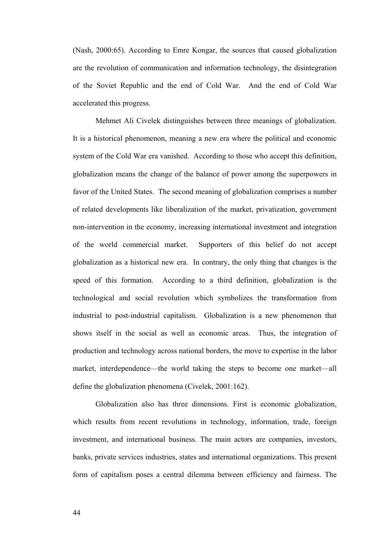(Nash, 2000:65). According to Emre Kongar, the sources that caused globalization are the revolution of communication and information technology, the disintegration of the Soviet Republic and the end of Cold War. And the end of Cold War accelerated this progress.

Mehmet Ali Civelek distinguishes between three meanings of globalization. It is a historical phenomenon, meaning a new era where the political and economic system of the Cold War era vanished. According to those who accept this definition, globalization means the change of the balance of power among the superpowers in favor of the United States. The second meaning of globalization comprises a number of related developments like liberalization of the market, privatization, government non-intervention in the economy, increasing international investment and integration of the world commercial market. Supporters of this belief do not accept globalization as a historical new era. In contrary, the only thing that changes is the speed of this formation. According to a third definition, globalization is the technological and social revolution which symbolizes the transformation from industrial to post-industrial capitalism. Globalization is a new phenomenon that shows itself in the social as well as economic areas. Thus, the integration of production and technology across national borders, the move to expertise in the labor market, interdependence—the world taking the steps to become one market—all define the globalization phenomena (Civelek, 2001:162).

Globalization also has three dimensions. First is economic globalization, which results from recent revolutions in technology, information, trade, foreign investment, and international business. The main actors are companies, investors, banks, private services industries, states and international organizations. This present form of capitalism poses a central dilemma between efficiency and fairness. The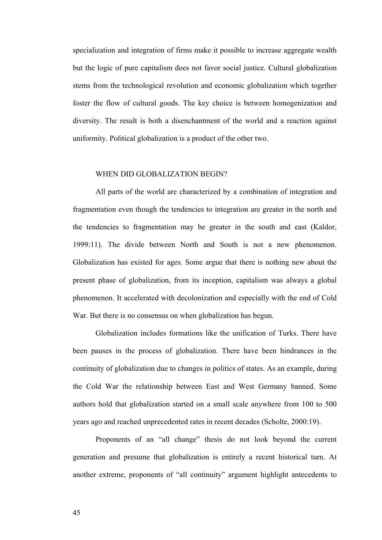specialization and integration of firms make it possible to increase aggregate wealth but the logic of pure capitalism does not favor social justice. Cultural globalization stems from the technological revolution and economic globalization which together foster the flow of cultural goods. The key choice is between homogenization and diversity. The result is both a disenchantment of the world and a reaction against uniformity. Political globalization is a product of the other two.

#### WHEN DID GLOBALIZATION BEGIN?

All parts of the world are characterized by a combination of integration and fragmentation even though the tendencies to integration are greater in the north and the tendencies to fragmentation may be greater in the south and east (Kaldor, 1999:11). The divide between North and South is not a new phenomenon. Globalization has existed for ages. Some argue that there is nothing new about the present phase of globalization, from its inception, capitalism was always a global phenomenon. It accelerated with decolonization and especially with the end of Cold War. But there is no consensus on when globalization has begun.

Globalization includes formations like the unification of Turks. There have been pauses in the process of globalization. There have been hindrances in the continuity of globalization due to changes in politics of states. As an example, during the Cold War the relationship between East and West Germany banned. Some authors hold that globalization started on a small scale anywhere from 100 to 500 years ago and reached unprecedented rates in recent decades (Scholte, 2000:19).

Proponents of an "all change" thesis do not look beyond the current generation and presume that globalization is entirely a recent historical turn. At another extreme, proponents of "all continuity" argument highlight antecedents to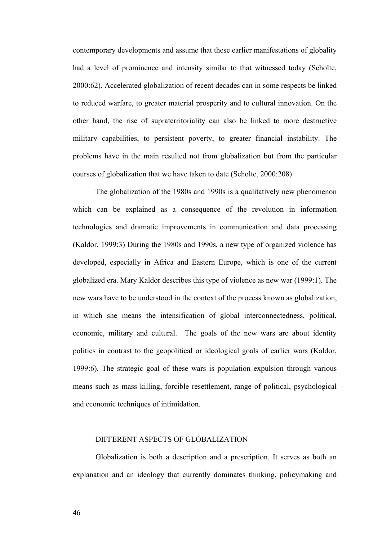contemporary developments and assume that these earlier manifestations of globality had a level of prominence and intensity similar to that witnessed today (Scholte, 2000:62). Accelerated globalization of recent decades can in some respects be linked to reduced warfare, to greater material prosperity and to cultural innovation. On the other hand, the rise of supraterritoriality can also be linked to more destructive military capabilities, to persistent poverty, to greater financial instability. The problems have in the main resulted not from globalization but from the particular courses of globalization that we have taken to date (Scholte, 2000:208).

The globalization of the 1980s and 1990s is a qualitatively new phenomenon which can be explained as a consequence of the revolution in information technologies and dramatic improvements in communication and data processing (Kaldor, 1999:3) During the 1980s and 1990s, a new type of organized violence has developed, especially in Africa and Eastern Europe, which is one of the current globalized era. Mary Kaldor describes this type of violence as new war (1999:1). The new wars have to be understood in the context of the process known as globalization, in which she means the intensification of global interconnectedness, political, economic, military and cultural. The goals of the new wars are about identity politics in contrast to the geopolitical or ideological goals of earlier wars (Kaldor, 1999:6). The strategic goal of these wars is population expulsion through various means such as mass killing, forcible resettlement, range of political, psychological and economic techniques of intimidation.

#### DIFFERENT ASPECTS OF GLOBALIZATION

Globalization is both a description and a prescription. It serves as both an explanation and an ideology that currently dominates thinking, policymaking and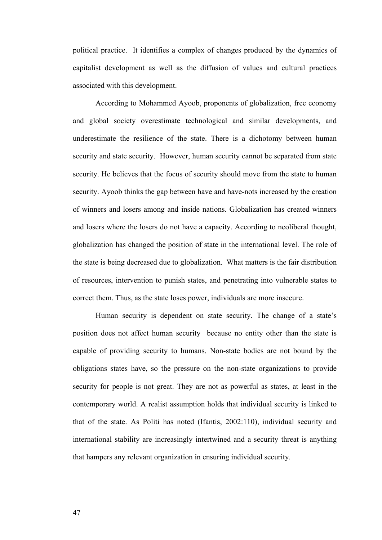political practice. It identifies a complex of changes produced by the dynamics of capitalist development as well as the diffusion of values and cultural practices associated with this development.

According to Mohammed Ayoob, proponents of globalization, free economy and global society overestimate technological and similar developments, and underestimate the resilience of the state. There is a dichotomy between human security and state security. However, human security cannot be separated from state security. He believes that the focus of security should move from the state to human security. Ayoob thinks the gap between have and have-nots increased by the creation of winners and losers among and inside nations. Globalization has created winners and losers where the losers do not have a capacity. According to neoliberal thought, globalization has changed the position of state in the international level. The role of the state is being decreased due to globalization. What matters is the fair distribution of resources, intervention to punish states, and penetrating into vulnerable states to correct them. Thus, as the state loses power, individuals are more insecure.

Human security is dependent on state security. The change of a state's position does not affect human security because no entity other than the state is capable of providing security to humans. Non-state bodies are not bound by the obligations states have, so the pressure on the non-state organizations to provide security for people is not great. They are not as powerful as states, at least in the contemporary world. A realist assumption holds that individual security is linked to that of the state. As Politi has noted (Ifantis, 2002:110), individual security and international stability are increasingly intertwined and a security threat is anything that hampers any relevant organization in ensuring individual security.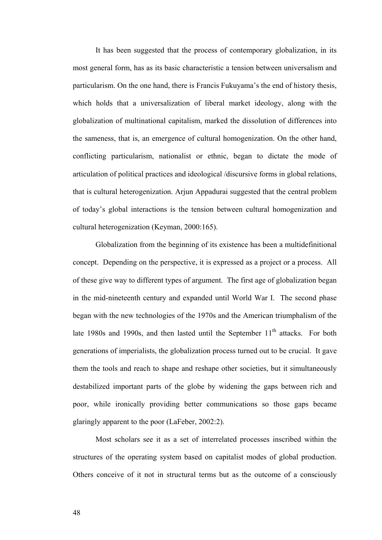It has been suggested that the process of contemporary globalization, in its most general form, has as its basic characteristic a tension between universalism and particularism. On the one hand, there is Francis Fukuyama's the end of history thesis, which holds that a universalization of liberal market ideology, along with the globalization of multinational capitalism, marked the dissolution of differences into the sameness, that is, an emergence of cultural homogenization. On the other hand, conflicting particularism, nationalist or ethnic, began to dictate the mode of articulation of political practices and ideological /discursive forms in global relations, that is cultural heterogenization. Arjun Appadurai suggested that the central problem of today's global interactions is the tension between cultural homogenization and cultural heterogenization (Keyman, 2000:165).

Globalization from the beginning of its existence has been a multidefinitional concept. Depending on the perspective, it is expressed as a project or a process. All of these give way to different types of argument. The first age of globalization began in the mid-nineteenth century and expanded until World War I. The second phase began with the new technologies of the 1970s and the American triumphalism of the late 1980s and 1990s, and then lasted until the September  $11<sup>th</sup>$  attacks. For both generations of imperialists, the globalization process turned out to be crucial. It gave them the tools and reach to shape and reshape other societies, but it simultaneously destabilized important parts of the globe by widening the gaps between rich and poor, while ironically providing better communications so those gaps became glaringly apparent to the poor (LaFeber, 2002:2).

Most scholars see it as a set of interrelated processes inscribed within the structures of the operating system based on capitalist modes of global production. Others conceive of it not in structural terms but as the outcome of a consciously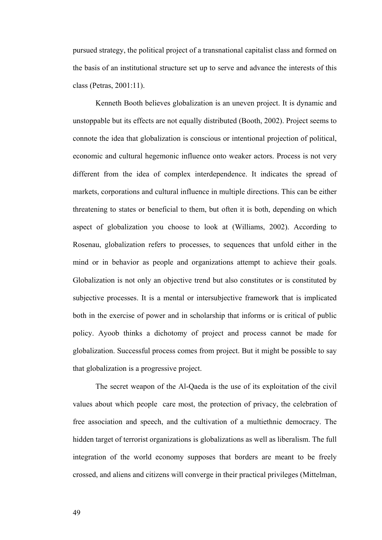pursued strategy, the political project of a transnational capitalist class and formed on the basis of an institutional structure set up to serve and advance the interests of this class (Petras, 2001:11).

Kenneth Booth believes globalization is an uneven project. It is dynamic and unstoppable but its effects are not equally distributed (Booth, 2002). Project seems to connote the idea that globalization is conscious or intentional projection of political, economic and cultural hegemonic influence onto weaker actors. Process is not very different from the idea of complex interdependence. It indicates the spread of markets, corporations and cultural influence in multiple directions. This can be either threatening to states or beneficial to them, but often it is both, depending on which aspect of globalization you choose to look at (Williams, 2002). According to Rosenau, globalization refers to processes, to sequences that unfold either in the mind or in behavior as people and organizations attempt to achieve their goals. Globalization is not only an objective trend but also constitutes or is constituted by subjective processes. It is a mental or intersubjective framework that is implicated both in the exercise of power and in scholarship that informs or is critical of public policy. Ayoob thinks a dichotomy of project and process cannot be made for globalization. Successful process comes from project. But it might be possible to say that globalization is a progressive project.

The secret weapon of the Al-Qaeda is the use of its exploitation of the civil values about which people care most, the protection of privacy, the celebration of free association and speech, and the cultivation of a multiethnic democracy. The hidden target of terrorist organizations is globalizations as well as liberalism. The full integration of the world economy supposes that borders are meant to be freely crossed, and aliens and citizens will converge in their practical privileges (Mittelman,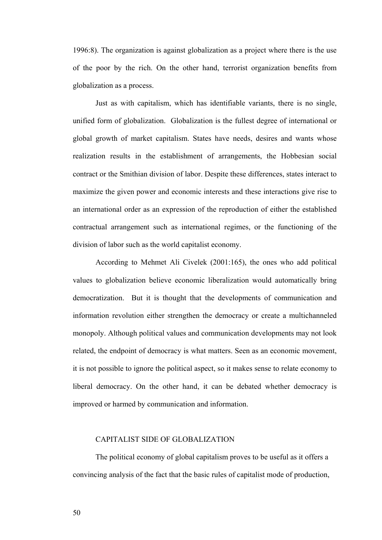1996:8). The organization is against globalization as a project where there is the use of the poor by the rich. On the other hand, terrorist organization benefits from globalization as a process.

Just as with capitalism, which has identifiable variants, there is no single, unified form of globalization. Globalization is the fullest degree of international or global growth of market capitalism. States have needs, desires and wants whose realization results in the establishment of arrangements, the Hobbesian social contract or the Smithian division of labor. Despite these differences, states interact to maximize the given power and economic interests and these interactions give rise to an international order as an expression of the reproduction of either the established contractual arrangement such as international regimes, or the functioning of the division of labor such as the world capitalist economy.

According to Mehmet Ali Civelek (2001:165), the ones who add political values to globalization believe economic liberalization would automatically bring democratization. But it is thought that the developments of communication and information revolution either strengthen the democracy or create a multichanneled monopoly. Although political values and communication developments may not look related, the endpoint of democracy is what matters. Seen as an economic movement, it is not possible to ignore the political aspect, so it makes sense to relate economy to liberal democracy. On the other hand, it can be debated whether democracy is improved or harmed by communication and information.

#### CAPITALIST SIDE OF GLOBALIZATION

The political economy of global capitalism proves to be useful as it offers a convincing analysis of the fact that the basic rules of capitalist mode of production,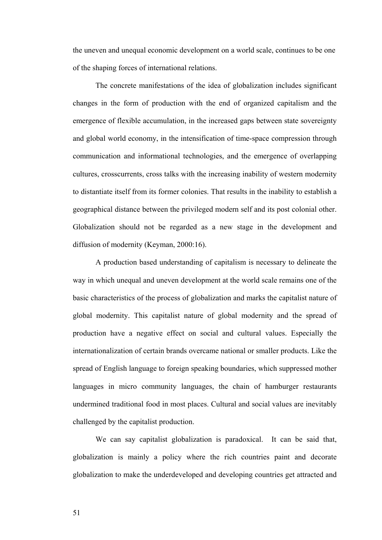the uneven and unequal economic development on a world scale, continues to be one of the shaping forces of international relations.

The concrete manifestations of the idea of globalization includes significant changes in the form of production with the end of organized capitalism and the emergence of flexible accumulation, in the increased gaps between state sovereignty and global world economy, in the intensification of time-space compression through communication and informational technologies, and the emergence of overlapping cultures, crosscurrents, cross talks with the increasing inability of western modernity to distantiate itself from its former colonies. That results in the inability to establish a geographical distance between the privileged modern self and its post colonial other. Globalization should not be regarded as a new stage in the development and diffusion of modernity (Keyman, 2000:16).

A production based understanding of capitalism is necessary to delineate the way in which unequal and uneven development at the world scale remains one of the basic characteristics of the process of globalization and marks the capitalist nature of global modernity. This capitalist nature of global modernity and the spread of production have a negative effect on social and cultural values. Especially the internationalization of certain brands overcame national or smaller products. Like the spread of English language to foreign speaking boundaries, which suppressed mother languages in micro community languages, the chain of hamburger restaurants undermined traditional food in most places. Cultural and social values are inevitably challenged by the capitalist production.

We can say capitalist globalization is paradoxical. It can be said that, globalization is mainly a policy where the rich countries paint and decorate globalization to make the underdeveloped and developing countries get attracted and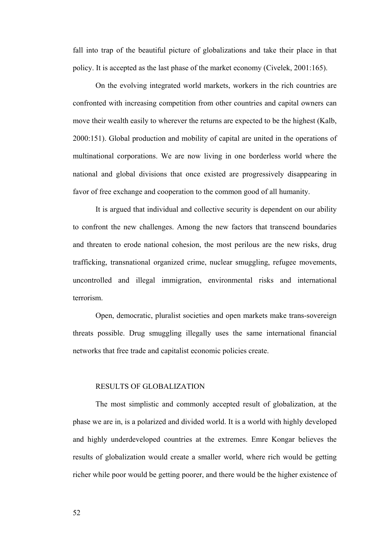fall into trap of the beautiful picture of globalizations and take their place in that policy. It is accepted as the last phase of the market economy (Civelek, 2001:165).

On the evolving integrated world markets, workers in the rich countries are confronted with increasing competition from other countries and capital owners can move their wealth easily to wherever the returns are expected to be the highest (Kalb, 2000:151). Global production and mobility of capital are united in the operations of multinational corporations. We are now living in one borderless world where the national and global divisions that once existed are progressively disappearing in favor of free exchange and cooperation to the common good of all humanity.

It is argued that individual and collective security is dependent on our ability to confront the new challenges. Among the new factors that transcend boundaries and threaten to erode national cohesion, the most perilous are the new risks, drug trafficking, transnational organized crime, nuclear smuggling, refugee movements, uncontrolled and illegal immigration, environmental risks and international terrorism.

Open, democratic, pluralist societies and open markets make trans-sovereign threats possible. Drug smuggling illegally uses the same international financial networks that free trade and capitalist economic policies create.

#### RESULTS OF GLOBALIZATION

The most simplistic and commonly accepted result of globalization, at the phase we are in, is a polarized and divided world. It is a world with highly developed and highly underdeveloped countries at the extremes. Emre Kongar believes the results of globalization would create a smaller world, where rich would be getting richer while poor would be getting poorer, and there would be the higher existence of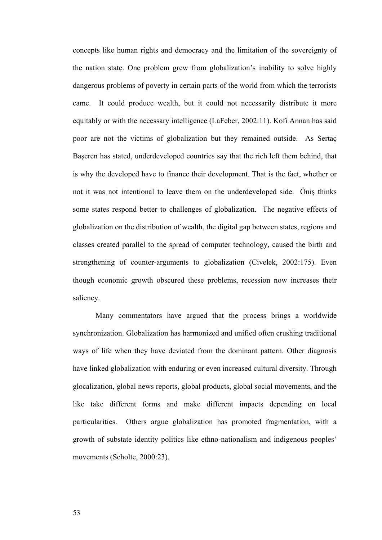concepts like human rights and democracy and the limitation of the sovereignty of the nation state. One problem grew from globalization's inability to solve highly dangerous problems of poverty in certain parts of the world from which the terrorists came. It could produce wealth, but it could not necessarily distribute it more equitably or with the necessary intelligence (LaFeber, 2002:11). Kofi Annan has said poor are not the victims of globalization but they remained outside. As Sertaç Başeren has stated, underdeveloped countries say that the rich left them behind, that is why the developed have to finance their development. That is the fact, whether or not it was not intentional to leave them on the underdeveloped side. Öniş thinks some states respond better to challenges of globalization. The negative effects of globalization on the distribution of wealth, the digital gap between states, regions and classes created parallel to the spread of computer technology, caused the birth and strengthening of counter-arguments to globalization (Civelek, 2002:175). Even though economic growth obscured these problems, recession now increases their saliency.

Many commentators have argued that the process brings a worldwide synchronization. Globalization has harmonized and unified often crushing traditional ways of life when they have deviated from the dominant pattern. Other diagnosis have linked globalization with enduring or even increased cultural diversity. Through glocalization, global news reports, global products, global social movements, and the like take different forms and make different impacts depending on local particularities. Others argue globalization has promoted fragmentation, with a growth of substate identity politics like ethno-nationalism and indigenous peoples' movements (Scholte, 2000:23).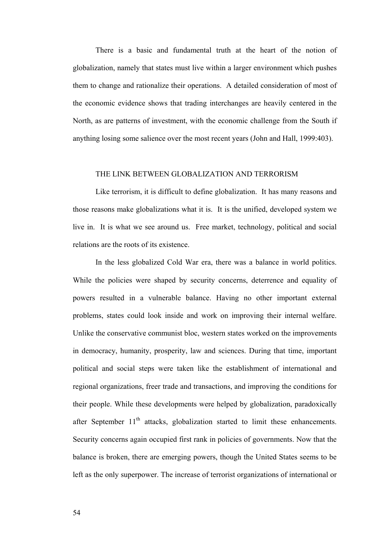There is a basic and fundamental truth at the heart of the notion of globalization, namely that states must live within a larger environment which pushes them to change and rationalize their operations. A detailed consideration of most of the economic evidence shows that trading interchanges are heavily centered in the North, as are patterns of investment, with the economic challenge from the South if anything losing some salience over the most recent years (John and Hall, 1999:403).

## THE LINK BETWEEN GLOBALIZATION AND TERRORISM

Like terrorism, it is difficult to define globalization. It has many reasons and those reasons make globalizations what it is. It is the unified, developed system we live in. It is what we see around us. Free market, technology, political and social relations are the roots of its existence.

In the less globalized Cold War era, there was a balance in world politics. While the policies were shaped by security concerns, deterrence and equality of powers resulted in a vulnerable balance. Having no other important external problems, states could look inside and work on improving their internal welfare. Unlike the conservative communist bloc, western states worked on the improvements in democracy, humanity, prosperity, law and sciences. During that time, important political and social steps were taken like the establishment of international and regional organizations, freer trade and transactions, and improving the conditions for their people. While these developments were helped by globalization, paradoxically after September  $11<sup>th</sup>$  attacks, globalization started to limit these enhancements. Security concerns again occupied first rank in policies of governments. Now that the balance is broken, there are emerging powers, though the United States seems to be left as the only superpower. The increase of terrorist organizations of international or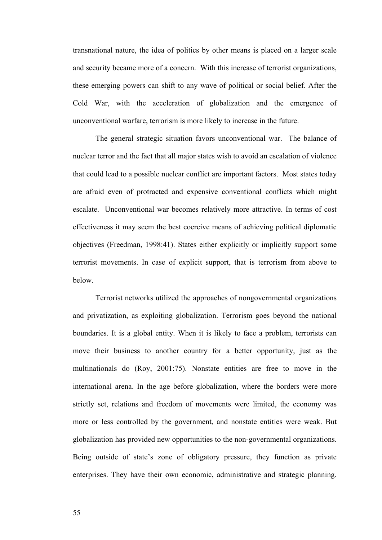transnational nature, the idea of politics by other means is placed on a larger scale and security became more of a concern. With this increase of terrorist organizations, these emerging powers can shift to any wave of political or social belief. After the Cold War, with the acceleration of globalization and the emergence of unconventional warfare, terrorism is more likely to increase in the future.

The general strategic situation favors unconventional war. The balance of nuclear terror and the fact that all major states wish to avoid an escalation of violence that could lead to a possible nuclear conflict are important factors. Most states today are afraid even of protracted and expensive conventional conflicts which might escalate. Unconventional war becomes relatively more attractive. In terms of cost effectiveness it may seem the best coercive means of achieving political diplomatic objectives (Freedman, 1998:41). States either explicitly or implicitly support some terrorist movements. In case of explicit support, that is terrorism from above to below.

Terrorist networks utilized the approaches of nongovernmental organizations and privatization, as exploiting globalization. Terrorism goes beyond the national boundaries. It is a global entity. When it is likely to face a problem, terrorists can move their business to another country for a better opportunity, just as the multinationals do (Roy, 2001:75). Nonstate entities are free to move in the international arena. In the age before globalization, where the borders were more strictly set, relations and freedom of movements were limited, the economy was more or less controlled by the government, and nonstate entities were weak. But globalization has provided new opportunities to the non-governmental organizations. Being outside of state's zone of obligatory pressure, they function as private enterprises. They have their own economic, administrative and strategic planning.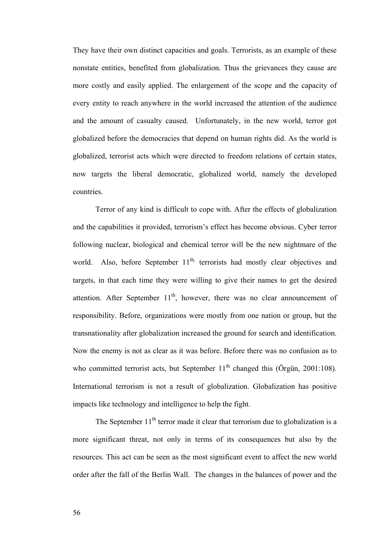They have their own distinct capacities and goals. Terrorists, as an example of these nonstate entities, benefited from globalization. Thus the grievances they cause are more costly and easily applied. The enlargement of the scope and the capacity of every entity to reach anywhere in the world increased the attention of the audience and the amount of casualty caused. Unfortunately, in the new world, terror got globalized before the democracies that depend on human rights did. As the world is globalized, terrorist acts which were directed to freedom relations of certain states, now targets the liberal democratic, globalized world, namely the developed countries.

Terror of any kind is difficult to cope with. After the effects of globalization and the capabilities it provided, terrorism's effect has become obvious. Cyber terror following nuclear, biological and chemical terror will be the new nightmare of the world. Also, before September  $11<sup>th</sup>$ , terrorists had mostly clear objectives and targets, in that each time they were willing to give their names to get the desired attention. After September  $11<sup>th</sup>$ , however, there was no clear announcement of responsibility. Before, organizations were mostly from one nation or group, but the transnationality after globalization increased the ground for search and identification. Now the enemy is not as clear as it was before. Before there was no confusion as to who committed terrorist acts, but September  $11<sup>th</sup>$  changed this (Örgün, 2001:108). International terrorism is not a result of globalization. Globalization has positive impacts like technology and intelligence to help the fight.

The September  $11<sup>th</sup>$  terror made it clear that terrorism due to globalization is a more significant threat, not only in terms of its consequences but also by the resources. This act can be seen as the most significant event to affect the new world order after the fall of the Berlin Wall. The changes in the balances of power and the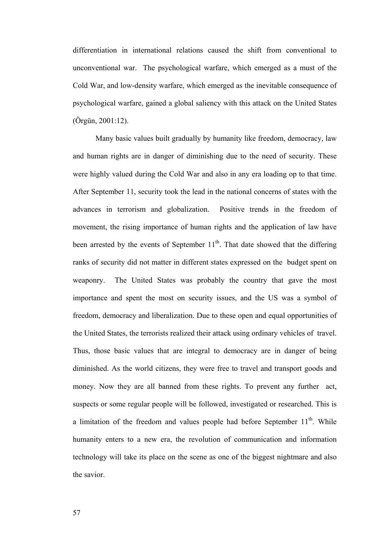differentiation in international relations caused the shift from conventional to unconventional war. The psychological warfare, which emerged as a must of the Cold War, and low-density warfare, which emerged as the inevitable consequence of psychological warfare, gained a global saliency with this attack on the United States (Örgün, 2001:12).

Many basic values built gradually by humanity like freedom, democracy, law and human rights are in danger of diminishing due to the need of security. These were highly valued during the Cold War and also in any era loading op to that time. After September 11, security took the lead in the national concerns of states with the advances in terrorism and globalization. Positive trends in the freedom of movement, the rising importance of human rights and the application of law have been arrested by the events of September  $11<sup>th</sup>$ . That date showed that the differing ranks of security did not matter in different states expressed on the budget spent on weaponry. The United States was probably the country that gave the most importance and spent the most on security issues, and the US was a symbol of freedom, democracy and liberalization. Due to these open and equal opportunities of the United States, the terrorists realized their attack using ordinary vehicles of travel. Thus, those basic values that are integral to democracy are in danger of being diminished. As the world citizens, they were free to travel and transport goods and money. Now they are all banned from these rights. To prevent any further act, suspects or some regular people will be followed, investigated or researched. This is a limitation of the freedom and values people had before September  $11<sup>th</sup>$ . While humanity enters to a new era, the revolution of communication and information technology will take its place on the scene as one of the biggest nightmare and also the savior.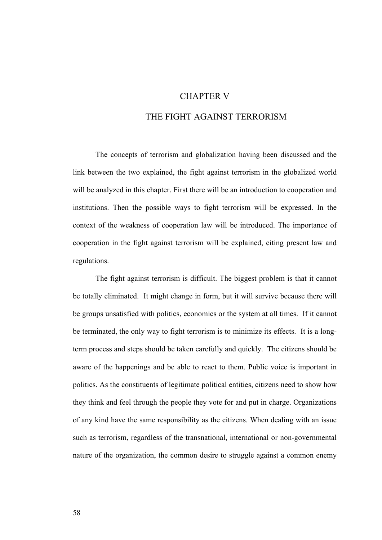# CHAPTER V

# THE FIGHT AGAINST TERRORISM

The concepts of terrorism and globalization having been discussed and the link between the two explained, the fight against terrorism in the globalized world will be analyzed in this chapter. First there will be an introduction to cooperation and institutions. Then the possible ways to fight terrorism will be expressed. In the context of the weakness of cooperation law will be introduced. The importance of cooperation in the fight against terrorism will be explained, citing present law and regulations.

The fight against terrorism is difficult. The biggest problem is that it cannot be totally eliminated. It might change in form, but it will survive because there will be groups unsatisfied with politics, economics or the system at all times. If it cannot be terminated, the only way to fight terrorism is to minimize its effects. It is a longterm process and steps should be taken carefully and quickly. The citizens should be aware of the happenings and be able to react to them. Public voice is important in politics. As the constituents of legitimate political entities, citizens need to show how they think and feel through the people they vote for and put in charge. Organizations of any kind have the same responsibility as the citizens. When dealing with an issue such as terrorism, regardless of the transnational, international or non-governmental nature of the organization, the common desire to struggle against a common enemy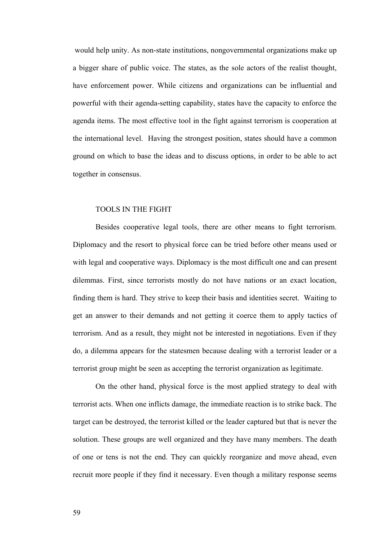would help unity. As non-state institutions, nongovernmental organizations make up a bigger share of public voice. The states, as the sole actors of the realist thought, have enforcement power. While citizens and organizations can be influential and powerful with their agenda-setting capability, states have the capacity to enforce the agenda items. The most effective tool in the fight against terrorism is cooperation at the international level. Having the strongest position, states should have a common ground on which to base the ideas and to discuss options, in order to be able to act together in consensus.

### TOOLS IN THE FIGHT

Besides cooperative legal tools, there are other means to fight terrorism. Diplomacy and the resort to physical force can be tried before other means used or with legal and cooperative ways. Diplomacy is the most difficult one and can present dilemmas. First, since terrorists mostly do not have nations or an exact location, finding them is hard. They strive to keep their basis and identities secret. Waiting to get an answer to their demands and not getting it coerce them to apply tactics of terrorism. And as a result, they might not be interested in negotiations. Even if they do, a dilemma appears for the statesmen because dealing with a terrorist leader or a terrorist group might be seen as accepting the terrorist organization as legitimate.

On the other hand, physical force is the most applied strategy to deal with terrorist acts. When one inflicts damage, the immediate reaction is to strike back. The target can be destroyed, the terrorist killed or the leader captured but that is never the solution. These groups are well organized and they have many members. The death of one or tens is not the end. They can quickly reorganize and move ahead, even recruit more people if they find it necessary. Even though a military response seems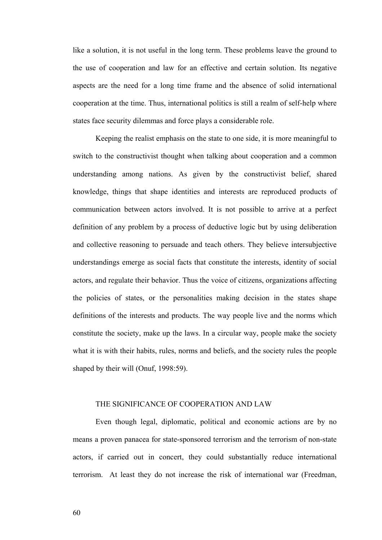like a solution, it is not useful in the long term. These problems leave the ground to the use of cooperation and law for an effective and certain solution. Its negative aspects are the need for a long time frame and the absence of solid international cooperation at the time. Thus, international politics is still a realm of self-help where states face security dilemmas and force plays a considerable role.

Keeping the realist emphasis on the state to one side, it is more meaningful to switch to the constructivist thought when talking about cooperation and a common understanding among nations. As given by the constructivist belief, shared knowledge, things that shape identities and interests are reproduced products of communication between actors involved. It is not possible to arrive at a perfect definition of any problem by a process of deductive logic but by using deliberation and collective reasoning to persuade and teach others. They believe intersubjective understandings emerge as social facts that constitute the interests, identity of social actors, and regulate their behavior. Thus the voice of citizens, organizations affecting the policies of states, or the personalities making decision in the states shape definitions of the interests and products. The way people live and the norms which constitute the society, make up the laws. In a circular way, people make the society what it is with their habits, rules, norms and beliefs, and the society rules the people shaped by their will (Onuf, 1998:59).

## THE SIGNIFICANCE OF COOPERATION AND LAW

Even though legal, diplomatic, political and economic actions are by no means a proven panacea for state-sponsored terrorism and the terrorism of non-state actors, if carried out in concert, they could substantially reduce international terrorism. At least they do not increase the risk of international war (Freedman,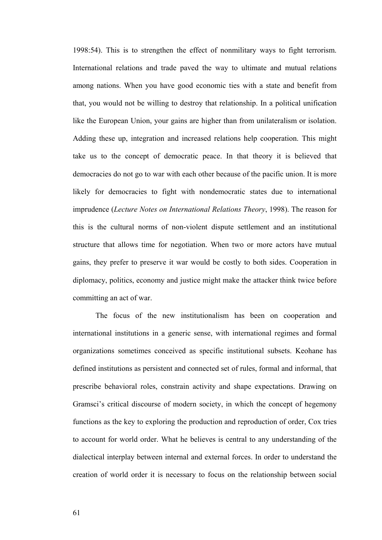1998:54). This is to strengthen the effect of nonmilitary ways to fight terrorism. International relations and trade paved the way to ultimate and mutual relations among nations. When you have good economic ties with a state and benefit from that, you would not be willing to destroy that relationship. In a political unification like the European Union, your gains are higher than from unilateralism or isolation. Adding these up, integration and increased relations help cooperation. This might take us to the concept of democratic peace. In that theory it is believed that democracies do not go to war with each other because of the pacific union. It is more likely for democracies to fight with nondemocratic states due to international imprudence (*Lecture Notes on International Relations Theory*, 1998). The reason for this is the cultural norms of non-violent dispute settlement and an institutional structure that allows time for negotiation. When two or more actors have mutual gains, they prefer to preserve it war would be costly to both sides. Cooperation in diplomacy, politics, economy and justice might make the attacker think twice before committing an act of war.

The focus of the new institutionalism has been on cooperation and international institutions in a generic sense, with international regimes and formal organizations sometimes conceived as specific institutional subsets. Keohane has defined institutions as persistent and connected set of rules, formal and informal, that prescribe behavioral roles, constrain activity and shape expectations. Drawing on Gramsci's critical discourse of modern society, in which the concept of hegemony functions as the key to exploring the production and reproduction of order, Cox tries to account for world order. What he believes is central to any understanding of the dialectical interplay between internal and external forces. In order to understand the creation of world order it is necessary to focus on the relationship between social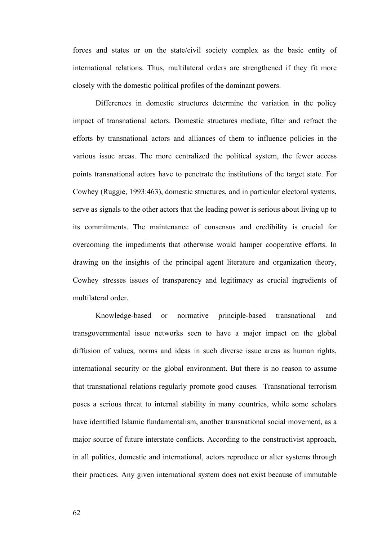forces and states or on the state/civil society complex as the basic entity of international relations. Thus, multilateral orders are strengthened if they fit more closely with the domestic political profiles of the dominant powers.

Differences in domestic structures determine the variation in the policy impact of transnational actors. Domestic structures mediate, filter and refract the efforts by transnational actors and alliances of them to influence policies in the various issue areas. The more centralized the political system, the fewer access points transnational actors have to penetrate the institutions of the target state. For Cowhey (Ruggie, 1993:463), domestic structures, and in particular electoral systems, serve as signals to the other actors that the leading power is serious about living up to its commitments. The maintenance of consensus and credibility is crucial for overcoming the impediments that otherwise would hamper cooperative efforts. In drawing on the insights of the principal agent literature and organization theory, Cowhey stresses issues of transparency and legitimacy as crucial ingredients of multilateral order.

Knowledge-based or normative principle-based transnational and transgovernmental issue networks seen to have a major impact on the global diffusion of values, norms and ideas in such diverse issue areas as human rights, international security or the global environment. But there is no reason to assume that transnational relations regularly promote good causes. Transnational terrorism poses a serious threat to internal stability in many countries, while some scholars have identified Islamic fundamentalism, another transnational social movement, as a major source of future interstate conflicts. According to the constructivist approach, in all politics, domestic and international, actors reproduce or alter systems through their practices. Any given international system does not exist because of immutable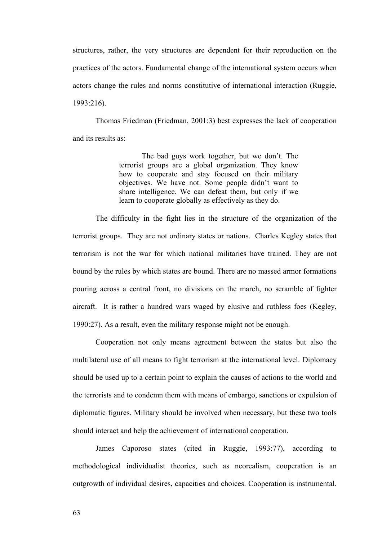structures, rather, the very structures are dependent for their reproduction on the practices of the actors. Fundamental change of the international system occurs when actors change the rules and norms constitutive of international interaction (Ruggie, 1993:216).

Thomas Friedman (Friedman, 2001:3) best expresses the lack of cooperation and its results as:

> The bad guys work together, but we don't. The terrorist groups are a global organization. They know how to cooperate and stay focused on their military objectives. We have not. Some people didn't want to share intelligence. We can defeat them, but only if we learn to cooperate globally as effectively as they do.

The difficulty in the fight lies in the structure of the organization of the terrorist groups. They are not ordinary states or nations. Charles Kegley states that terrorism is not the war for which national militaries have trained. They are not bound by the rules by which states are bound. There are no massed armor formations pouring across a central front, no divisions on the march, no scramble of fighter aircraft. It is rather a hundred wars waged by elusive and ruthless foes (Kegley, 1990:27). As a result, even the military response might not be enough.

Cooperation not only means agreement between the states but also the multilateral use of all means to fight terrorism at the international level. Diplomacy should be used up to a certain point to explain the causes of actions to the world and the terrorists and to condemn them with means of embargo, sanctions or expulsion of diplomatic figures. Military should be involved when necessary, but these two tools should interact and help the achievement of international cooperation.

James Caporoso states (cited in Ruggie, 1993:77), according to methodological individualist theories, such as neorealism, cooperation is an outgrowth of individual desires, capacities and choices. Cooperation is instrumental.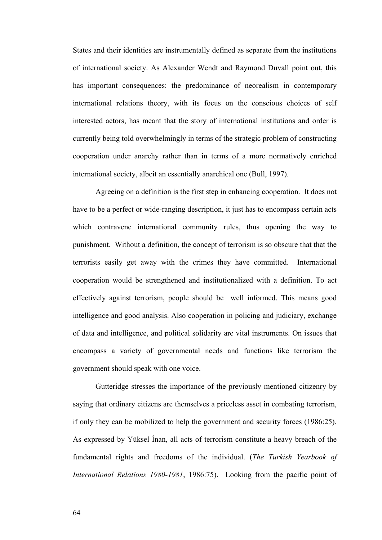States and their identities are instrumentally defined as separate from the institutions of international society. As Alexander Wendt and Raymond Duvall point out, this has important consequences: the predominance of neorealism in contemporary international relations theory, with its focus on the conscious choices of self interested actors, has meant that the story of international institutions and order is currently being told overwhelmingly in terms of the strategic problem of constructing cooperation under anarchy rather than in terms of a more normatively enriched international society, albeit an essentially anarchical one (Bull, 1997).

Agreeing on a definition is the first step in enhancing cooperation. It does not have to be a perfect or wide-ranging description, it just has to encompass certain acts which contravene international community rules, thus opening the way to punishment. Without a definition, the concept of terrorism is so obscure that that the terrorists easily get away with the crimes they have committed. International cooperation would be strengthened and institutionalized with a definition. To act effectively against terrorism, people should be well informed. This means good intelligence and good analysis. Also cooperation in policing and judiciary, exchange of data and intelligence, and political solidarity are vital instruments. On issues that encompass a variety of governmental needs and functions like terrorism the government should speak with one voice.

Gutteridge stresses the importance of the previously mentioned citizenry by saying that ordinary citizens are themselves a priceless asset in combating terrorism, if only they can be mobilized to help the government and security forces (1986:25). As expressed by Yüksel İnan, all acts of terrorism constitute a heavy breach of the fundamental rights and freedoms of the individual. (*The Turkish Yearbook of International Relations 1980-1981*, 1986:75). Looking from the pacific point of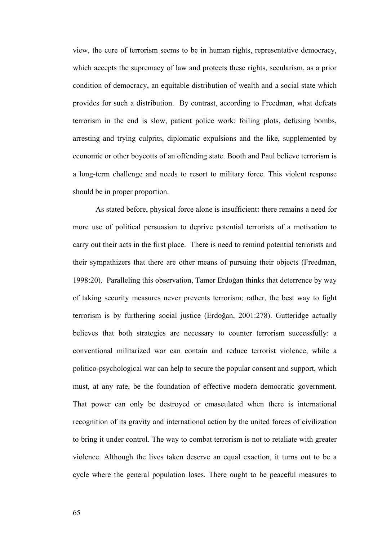view, the cure of terrorism seems to be in human rights, representative democracy, which accepts the supremacy of law and protects these rights, secularism, as a prior condition of democracy, an equitable distribution of wealth and a social state which provides for such a distribution. By contrast, according to Freedman, what defeats terrorism in the end is slow, patient police work: foiling plots, defusing bombs, arresting and trying culprits, diplomatic expulsions and the like, supplemented by economic or other boycotts of an offending state. Booth and Paul believe terrorism is a long-term challenge and needs to resort to military force. This violent response should be in proper proportion.

As stated before, physical force alone is insufficient**:** there remains a need for more use of political persuasion to deprive potential terrorists of a motivation to carry out their acts in the first place. There is need to remind potential terrorists and their sympathizers that there are other means of pursuing their objects (Freedman, 1998:20). Paralleling this observation, Tamer Erdoğan thinks that deterrence by way of taking security measures never prevents terrorism; rather, the best way to fight terrorism is by furthering social justice (Erdoğan, 2001:278). Gutteridge actually believes that both strategies are necessary to counter terrorism successfully: a conventional militarized war can contain and reduce terrorist violence, while a politico-psychological war can help to secure the popular consent and support, which must, at any rate, be the foundation of effective modern democratic government. That power can only be destroyed or emasculated when there is international recognition of its gravity and international action by the united forces of civilization to bring it under control. The way to combat terrorism is not to retaliate with greater violence. Although the lives taken deserve an equal exaction, it turns out to be a cycle where the general population loses. There ought to be peaceful measures to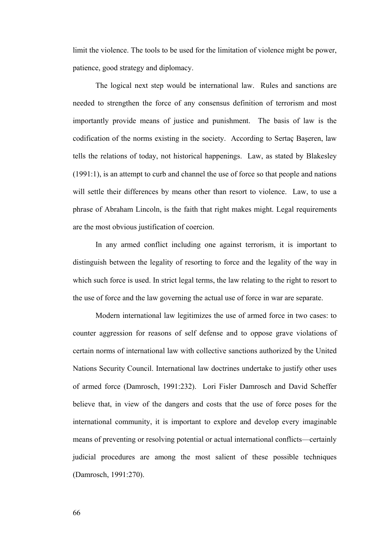limit the violence. The tools to be used for the limitation of violence might be power, patience, good strategy and diplomacy.

The logical next step would be international law. Rules and sanctions are needed to strengthen the force of any consensus definition of terrorism and most importantly provide means of justice and punishment. The basis of law is the codification of the norms existing in the society. According to Sertaç Başeren, law tells the relations of today, not historical happenings. Law, as stated by Blakesley (1991:1), is an attempt to curb and channel the use of force so that people and nations will settle their differences by means other than resort to violence. Law, to use a phrase of Abraham Lincoln, is the faith that right makes might. Legal requirements are the most obvious justification of coercion.

In any armed conflict including one against terrorism, it is important to distinguish between the legality of resorting to force and the legality of the way in which such force is used. In strict legal terms, the law relating to the right to resort to the use of force and the law governing the actual use of force in war are separate.

Modern international law legitimizes the use of armed force in two cases: to counter aggression for reasons of self defense and to oppose grave violations of certain norms of international law with collective sanctions authorized by the United Nations Security Council. International law doctrines undertake to justify other uses of armed force (Damrosch, 1991:232). Lori Fisler Damrosch and David Scheffer believe that, in view of the dangers and costs that the use of force poses for the international community, it is important to explore and develop every imaginable means of preventing or resolving potential or actual international conflicts—certainly judicial procedures are among the most salient of these possible techniques (Damrosch, 1991:270).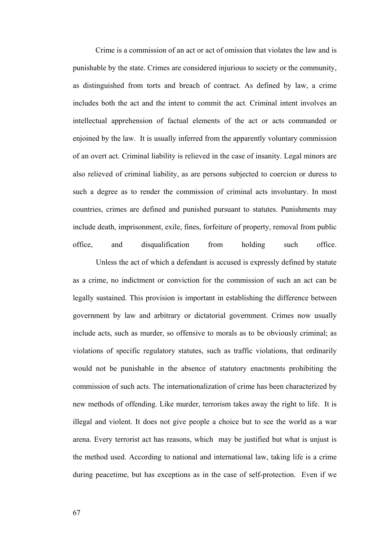Crime is a commission of an act or act of omission that violates the law and is punishable by the state. Crimes are considered injurious to society or the community, as distinguished from torts and breach of contract. As defined by law, a crime includes both the act and the intent to commit the act*.* Criminal intent involves an intellectual apprehension of factual elements of the act or acts commanded or enjoined by the law. It is usually inferred from the apparently voluntary commission of an overt act. Criminal liability is relieved in the case of insanity. Legal minors are also relieved of criminal liability, as are persons subjected to coercion or duress to such a degree as to render the commission of criminal acts involuntary. In most countries, crimes are defined and punished pursuant to statutes. Punishments may include death, imprisonment, exile, fines, forfeiture of property, removal from public office, and disqualification from holding such office.

 Unless the act of which a defendant is accused is expressly defined by statute as a crime, no indictment or conviction for the commission of such an act can be legally sustained. This provision is important in establishing the difference between government by law and arbitrary or dictatorial government. Crimes now usually include acts, such as murder, so offensive to morals as to be obviously criminal; as violations of specific regulatory statutes, such as traffic violations, that ordinarily would not be punishable in the absence of statutory enactments prohibiting the commission of such acts. The internationalization of crime has been characterized by new methods of offending. Like murder, terrorism takes away the right to life. It is illegal and violent. It does not give people a choice but to see the world as a war arena. Every terrorist act has reasons, which may be justified but what is unjust is the method used. According to national and international law, taking life is a crime during peacetime, but has exceptions as in the case of self-protection. Even if we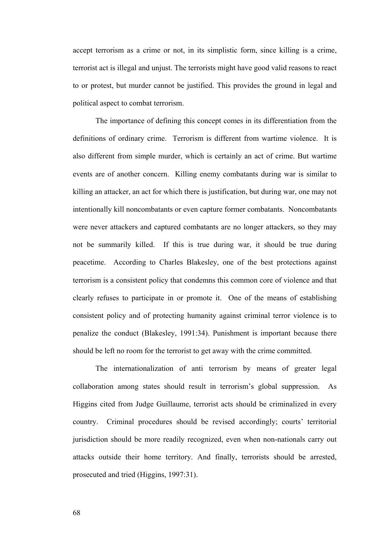accept terrorism as a crime or not, in its simplistic form, since killing is a crime, terrorist act is illegal and unjust. The terrorists might have good valid reasons to react to or protest, but murder cannot be justified. This provides the ground in legal and political aspect to combat terrorism.

The importance of defining this concept comes in its differentiation from the definitions of ordinary crime. Terrorism is different from wartime violence. It is also different from simple murder, which is certainly an act of crime. But wartime events are of another concern. Killing enemy combatants during war is similar to killing an attacker, an act for which there is justification, but during war, one may not intentionally kill noncombatants or even capture former combatants. Noncombatants were never attackers and captured combatants are no longer attackers, so they may not be summarily killed. If this is true during war, it should be true during peacetime. According to Charles Blakesley, one of the best protections against terrorism is a consistent policy that condemns this common core of violence and that clearly refuses to participate in or promote it. One of the means of establishing consistent policy and of protecting humanity against criminal terror violence is to penalize the conduct (Blakesley, 1991:34). Punishment is important because there should be left no room for the terrorist to get away with the crime committed.

The internationalization of anti terrorism by means of greater legal collaboration among states should result in terrorism's global suppression. As Higgins cited from Judge Guillaume, terrorist acts should be criminalized in every country. Criminal procedures should be revised accordingly; courts' territorial jurisdiction should be more readily recognized, even when non-nationals carry out attacks outside their home territory. And finally, terrorists should be arrested, prosecuted and tried (Higgins, 1997:31).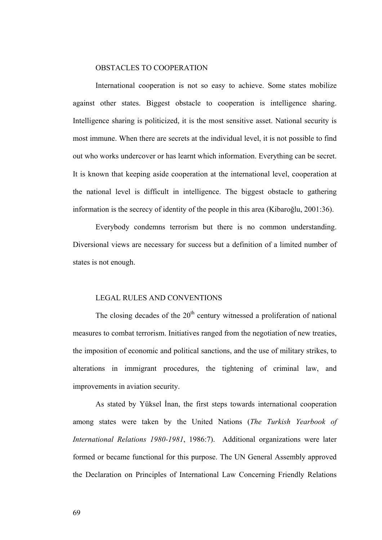### OBSTACLES TO COOPERATION

International cooperation is not so easy to achieve. Some states mobilize against other states. Biggest obstacle to cooperation is intelligence sharing. Intelligence sharing is politicized, it is the most sensitive asset. National security is most immune. When there are secrets at the individual level, it is not possible to find out who works undercover or has learnt which information. Everything can be secret. It is known that keeping aside cooperation at the international level, cooperation at the national level is difficult in intelligence. The biggest obstacle to gathering information is the secrecy of identity of the people in this area (Kibaroğlu, 2001:36).

Everybody condemns terrorism but there is no common understanding. Diversional views are necessary for success but a definition of a limited number of states is not enough.

### LEGAL RULES AND CONVENTIONS

The closing decades of the  $20<sup>th</sup>$  century witnessed a proliferation of national measures to combat terrorism. Initiatives ranged from the negotiation of new treaties, the imposition of economic and political sanctions, and the use of military strikes, to alterations in immigrant procedures, the tightening of criminal law, and improvements in aviation security.

As stated by Yüksel İnan, the first steps towards international cooperation among states were taken by the United Nations (*The Turkish Yearbook of International Relations 1980-1981*, 1986:7). Additional organizations were later formed or became functional for this purpose. The UN General Assembly approved the Declaration on Principles of International Law Concerning Friendly Relations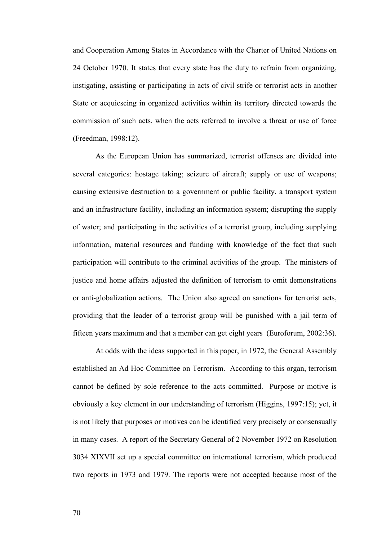and Cooperation Among States in Accordance with the Charter of United Nations on 24 October 1970. It states that every state has the duty to refrain from organizing, instigating, assisting or participating in acts of civil strife or terrorist acts in another State or acquiescing in organized activities within its territory directed towards the commission of such acts, when the acts referred to involve a threat or use of force (Freedman, 1998:12).

As the European Union has summarized, terrorist offenses are divided into several categories: hostage taking; seizure of aircraft; supply or use of weapons; causing extensive destruction to a government or public facility, a transport system and an infrastructure facility, including an information system; disrupting the supply of water; and participating in the activities of a terrorist group, including supplying information, material resources and funding with knowledge of the fact that such participation will contribute to the criminal activities of the group. The ministers of justice and home affairs adjusted the definition of terrorism to omit demonstrations or anti-globalization actions. The Union also agreed on sanctions for terrorist acts, providing that the leader of a terrorist group will be punished with a jail term of fifteen years maximum and that a member can get eight years (Euroforum, 2002:36).

At odds with the ideas supported in this paper, in 1972, the General Assembly established an Ad Hoc Committee on Terrorism. According to this organ, terrorism cannot be defined by sole reference to the acts committed. Purpose or motive is obviously a key element in our understanding of terrorism (Higgins, 1997:15); yet, it is not likely that purposes or motives can be identified very precisely or consensually in many cases. A report of the Secretary General of 2 November 1972 on Resolution 3034 XIXVII set up a special committee on international terrorism, which produced two reports in 1973 and 1979. The reports were not accepted because most of the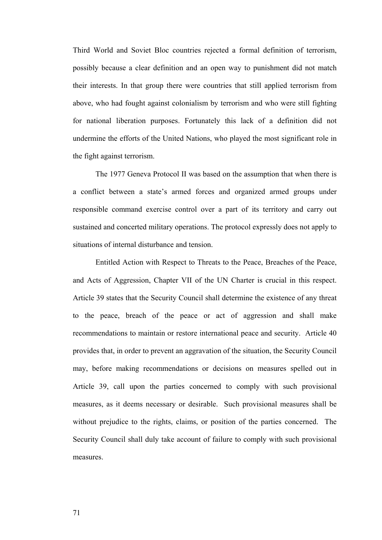Third World and Soviet Bloc countries rejected a formal definition of terrorism, possibly because a clear definition and an open way to punishment did not match their interests. In that group there were countries that still applied terrorism from above, who had fought against colonialism by terrorism and who were still fighting for national liberation purposes. Fortunately this lack of a definition did not undermine the efforts of the United Nations, who played the most significant role in the fight against terrorism.

The 1977 Geneva Protocol II was based on the assumption that when there is a conflict between a state's armed forces and organized armed groups under responsible command exercise control over a part of its territory and carry out sustained and concerted military operations. The protocol expressly does not apply to situations of internal disturbance and tension.

Entitled Action with Respect to Threats to the Peace, Breaches of the Peace, and Acts of Aggression, Chapter VII of the UN Charter is crucial in this respect. Article 39 states that the Security Council shall determine the existence of any threat to the peace, breach of the peace or act of aggression and shall make recommendations to maintain or restore international peace and security.Article 40 provides that, in order to prevent an aggravation of the situation, the Security Council may, before making recommendations or decisions on measures spelled out in Article 39, call upon the parties concerned to comply with such provisional measures, as it deems necessary or desirable. Such provisional measures shall be without prejudice to the rights, claims, or position of the parties concerned. The Security Council shall duly take account of failure to comply with such provisional measures.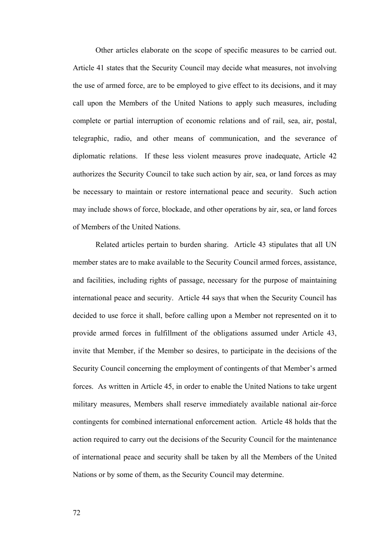Other articles elaborate on the scope of specific measures to be carried out. Article 41 states that the Security Council may decide what measures, not involving the use of armed force, are to be employed to give effect to its decisions, and it may call upon the Members of the United Nations to apply such measures, including complete or partial interruption of economic relations and of rail, sea, air, postal, telegraphic, radio, and other means of communication, and the severance of diplomatic relations. If these less violent measures prove inadequate, Article 42 authorizes the Security Council to take such action by air, sea, or land forces as may be necessary to maintain or restore international peace and security. Such action may include shows of force, blockade, and other operations by air, sea, or land forces of Members of the United Nations.

Related articles pertain to burden sharing. Article 43 stipulates that all UN member states are to make available to the Security Council armed forces, assistance, and facilities, including rights of passage, necessary for the purpose of maintaining international peace and security. Article 44 says that when the Security Council has decided to use force it shall, before calling upon a Member not represented on it to provide armed forces in fulfillment of the obligations assumed under Article 43, invite that Member, if the Member so desires, to participate in the decisions of the Security Council concerning the employment of contingents of that Member's armed forces. As written in Article 45, in order to enable the United Nations to take urgent military measures, Members shall reserve immediately available national air-force contingents for combined international enforcement action. Article 48 holds that the action required to carry out the decisions of the Security Council for the maintenance of international peace and security shall be taken by all the Members of the United Nations or by some of them, as the Security Council may determine.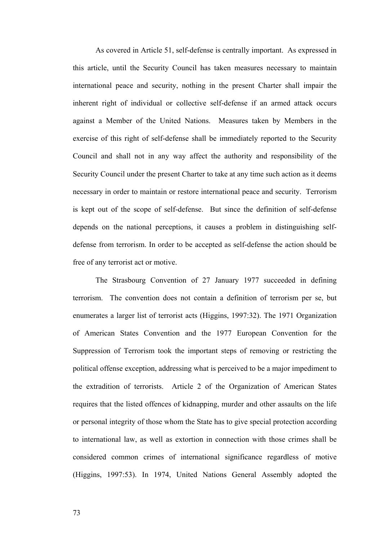As covered in Article 51, self-defense is centrally important. As expressed in this article, until the Security Council has taken measures necessary to maintain international peace and security, nothing in the present Charter shall impair the inherent right of individual or collective self-defense if an armed attack occurs against a Member of the United Nations. Measures taken by Members in the exercise of this right of self-defense shall be immediately reported to the Security Council and shall not in any way affect the authority and responsibility of the Security Council under the present Charter to take at any time such action as it deems necessary in order to maintain or restore international peace and security. Terrorism is kept out of the scope of self-defense. But since the definition of self-defense depends on the national perceptions, it causes a problem in distinguishing selfdefense from terrorism. In order to be accepted as self-defense the action should be free of any terrorist act or motive.

The Strasbourg Convention of 27 January 1977 succeeded in defining terrorism. The convention does not contain a definition of terrorism per se, but enumerates a larger list of terrorist acts (Higgins, 1997:32). The 1971 Organization of American States Convention and the 1977 European Convention for the Suppression of Terrorism took the important steps of removing or restricting the political offense exception, addressing what is perceived to be a major impediment to the extradition of terrorists. Article 2 of the Organization of American States requires that the listed offences of kidnapping, murder and other assaults on the life or personal integrity of those whom the State has to give special protection according to international law, as well as extortion in connection with those crimes shall be considered common crimes of international significance regardless of motive (Higgins, 1997:53). In 1974, United Nations General Assembly adopted the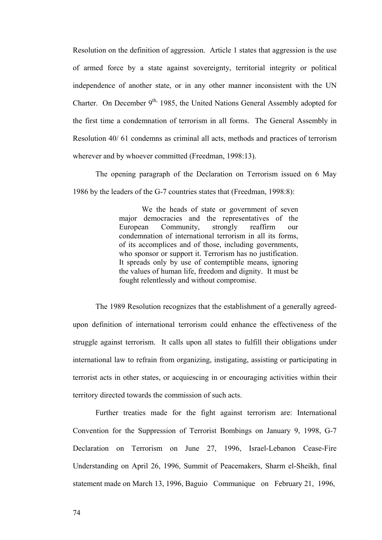Resolution on the definition of aggression. Article 1 states that aggression is the use of armed force by a state against sovereignty, territorial integrity or political independence of another state, or in any other manner inconsistent with the UN Charter. On December  $9<sup>th</sup>$ , 1985, the United Nations General Assembly adopted for the first time a condemnation of terrorism in all forms. The General Assembly in Resolution 40/ 61 condemns as criminal all acts, methods and practices of terrorism wherever and by whoever committed (Freedman, 1998:13).

The opening paragraph of the Declaration on Terrorism issued on 6 May 1986 by the leaders of the G-7 countries states that (Freedman, 1998:8):

> We the heads of state or government of seven major democracies and the representatives of the European Community, strongly reaffirm our condemnation of international terrorism in all its forms, of its accomplices and of those, including governments, who sponsor or support it. Terrorism has no justification. It spreads only by use of contemptible means, ignoring the values of human life, freedom and dignity. It must be fought relentlessly and without compromise.

The 1989 Resolution recognizes that the establishment of a generally agreedupon definition of international terrorism could enhance the effectiveness of the struggle against terrorism. It calls upon all states to fulfill their obligations under international law to refrain from organizing, instigating, assisting or participating in terrorist acts in other states, or acquiescing in or encouraging activities within their territory directed towards the commission of such acts.

Further treaties made for the fight against terrorism are: International Convention for the Suppression of Terrorist Bombings on January 9, 1998, G-7 Declaration on Terrorism on June 27, 1996, Israel-Lebanon Cease-Fire Understanding on April 26, 1996, Summit of Peacemakers, Sharm el-Sheikh, final statement made on March 13, 1996, Baguio Communique on February 21, 1996,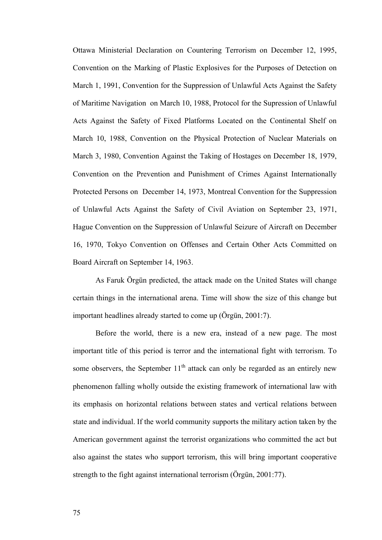Ottawa Ministerial Declaration on Countering Terrorism on December 12, 1995, Convention on the Marking of Plastic Explosives for the Purposes of Detection on March 1, 1991, Convention for the Suppression of Unlawful Acts Against the Safety of Maritime Navigation on March 10, 1988, Protocol for the Supression of Unlawful Acts Against the Safety of Fixed Platforms Located on the Continental Shelf on March 10, 1988, Convention on the Physical Protection of Nuclear Materials on March 3, 1980, Convention Against the Taking of Hostages on December 18, 1979, Convention on the Prevention and Punishment of Crimes Against Internationally Protected Persons on December 14, 1973, Montreal Convention for the Suppression of Unlawful Acts Against the Safety of Civil Aviation on September 23, 1971, Hague Convention on the Suppression of Unlawful Seizure of Aircraft on December 16, 1970, Tokyo Convention on Offenses and Certain Other Acts Committed on Board Aircraft on September 14, 1963.

As Faruk Örgün predicted, the attack made on the United States will change certain things in the international arena. Time will show the size of this change but important headlines already started to come up (Örgün, 2001:7).

Before the world, there is a new era, instead of a new page. The most important title of this period is terror and the international fight with terrorism. To some observers, the September  $11<sup>th</sup>$  attack can only be regarded as an entirely new phenomenon falling wholly outside the existing framework of international law with its emphasis on horizontal relations between states and vertical relations between state and individual. If the world community supports the military action taken by the American government against the terrorist organizations who committed the act but also against the states who support terrorism, this will bring important cooperative strength to the fight against international terrorism (Örgün, 2001:77).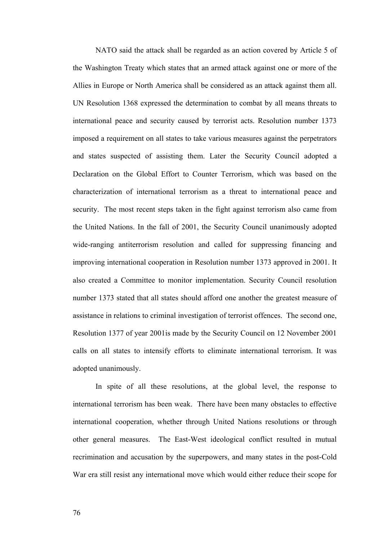NATO said the attack shall be regarded as an action covered by Article 5 of the Washington Treaty which states that an armed attack against one or more of the Allies in Europe or North America shall be considered as an attack against them all. UN Resolution 1368 expressed the determination to combat by all means threats to international peace and security caused by terrorist acts. Resolution number 1373 imposed a requirement on all states to take various measures against the perpetrators and states suspected of assisting them. Later the Security Council adopted a Declaration on the Global Effort to Counter Terrorism, which was based on the characterization of international terrorism as a threat to international peace and security. The most recent steps taken in the fight against terrorism also came from the United Nations. In the fall of 2001, the Security Council unanimously adopted wide-ranging antiterrorism resolution and called for suppressing financing and improving international cooperation in Resolution number 1373 approved in 2001. It also created a Committee to monitor implementation. Security Council resolution number 1373 stated that all states should afford one another the greatest measure of assistance in relations to criminal investigation of terrorist offences. The second one, Resolution 1377 of year 2001is made by the Security Council on 12 November 2001 calls on all states to intensify efforts to eliminate international terrorism. It was adopted unanimously.

In spite of all these resolutions, at the global level, the response to international terrorism has been weak. There have been many obstacles to effective international cooperation, whether through United Nations resolutions or through other general measures. The East-West ideological conflict resulted in mutual recrimination and accusation by the superpowers, and many states in the post-Cold War era still resist any international move which would either reduce their scope for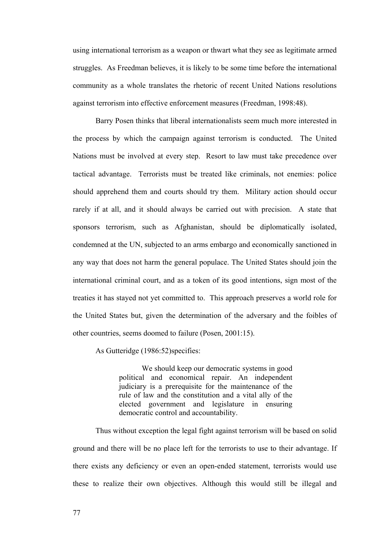using international terrorism as a weapon or thwart what they see as legitimate armed struggles. As Freedman believes, it is likely to be some time before the international community as a whole translates the rhetoric of recent United Nations resolutions against terrorism into effective enforcement measures (Freedman, 1998:48).

Barry Posen thinks that liberal internationalists seem much more interested in the process by which the campaign against terrorism is conducted. The United Nations must be involved at every step. Resort to law must take precedence over tactical advantage. Terrorists must be treated like criminals, not enemies: police should apprehend them and courts should try them. Military action should occur rarely if at all, and it should always be carried out with precision. A state that sponsors terrorism, such as Afghanistan, should be diplomatically isolated, condemned at the UN, subjected to an arms embargo and economically sanctioned in any way that does not harm the general populace. The United States should join the international criminal court, and as a token of its good intentions, sign most of the treaties it has stayed not yet committed to. This approach preserves a world role for the United States but, given the determination of the adversary and the foibles of other countries, seems doomed to failure (Posen, 2001:15).

As Gutteridge (1986:52)specifies:

We should keep our democratic systems in good political and economical repair. An independent judiciary is a prerequisite for the maintenance of the rule of law and the constitution and a vital ally of the elected government and legislature in ensuring democratic control and accountability.

Thus without exception the legal fight against terrorism will be based on solid ground and there will be no place left for the terrorists to use to their advantage. If there exists any deficiency or even an open-ended statement, terrorists would use these to realize their own objectives. Although this would still be illegal and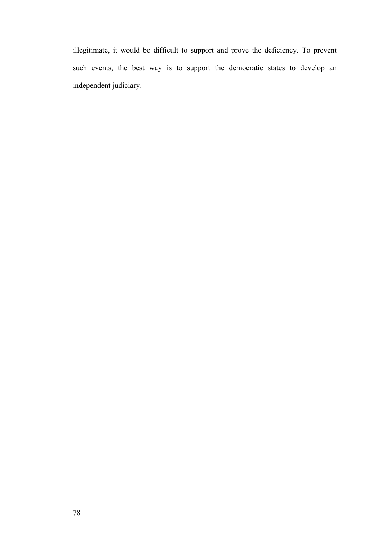illegitimate, it would be difficult to support and prove the deficiency. To prevent such events, the best way is to support the democratic states to develop an independent judiciary.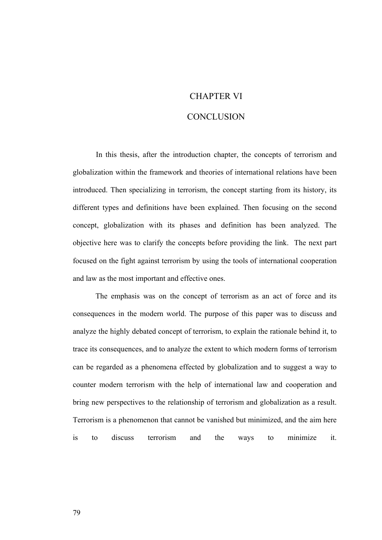## CHAPTER VI

### **CONCLUSION**

 In this thesis, after the introduction chapter, the concepts of terrorism and globalization within the framework and theories of international relations have been introduced. Then specializing in terrorism, the concept starting from its history, its different types and definitions have been explained. Then focusing on the second concept, globalization with its phases and definition has been analyzed. The objective here was to clarify the concepts before providing the link. The next part focused on the fight against terrorism by using the tools of international cooperation and law as the most important and effective ones.

The emphasis was on the concept of terrorism as an act of force and its consequences in the modern world. The purpose of this paper was to discuss and analyze the highly debated concept of terrorism, to explain the rationale behind it, to trace its consequences, and to analyze the extent to which modern forms of terrorism can be regarded as a phenomena effected by globalization and to suggest a way to counter modern terrorism with the help of international law and cooperation and bring new perspectives to the relationship of terrorism and globalization as a result. Terrorism is a phenomenon that cannot be vanished but minimized, and the aim here is to discuss terrorism and the ways to minimize it.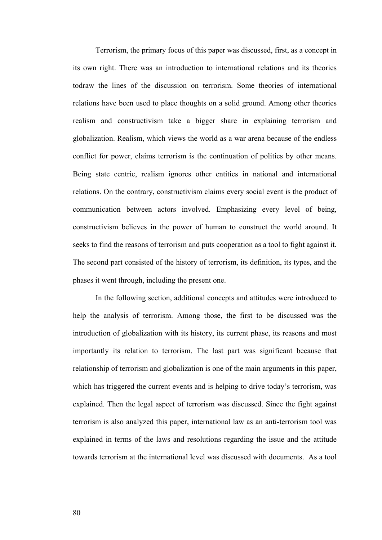Terrorism, the primary focus of this paper was discussed, first, as a concept in its own right. There was an introduction to international relations and its theories todraw the lines of the discussion on terrorism. Some theories of international relations have been used to place thoughts on a solid ground. Among other theories realism and constructivism take a bigger share in explaining terrorism and globalization. Realism, which views the world as a war arena because of the endless conflict for power, claims terrorism is the continuation of politics by other means. Being state centric, realism ignores other entities in national and international relations. On the contrary, constructivism claims every social event is the product of communication between actors involved. Emphasizing every level of being, constructivism believes in the power of human to construct the world around. It seeks to find the reasons of terrorism and puts cooperation as a tool to fight against it. The second part consisted of the history of terrorism, its definition, its types, and the phases it went through, including the present one.

In the following section, additional concepts and attitudes were introduced to help the analysis of terrorism. Among those, the first to be discussed was the introduction of globalization with its history, its current phase, its reasons and most importantly its relation to terrorism. The last part was significant because that relationship of terrorism and globalization is one of the main arguments in this paper, which has triggered the current events and is helping to drive today's terrorism, was explained. Then the legal aspect of terrorism was discussed. Since the fight against terrorism is also analyzed this paper, international law as an anti-terrorism tool was explained in terms of the laws and resolutions regarding the issue and the attitude towards terrorism at the international level was discussed with documents. As a tool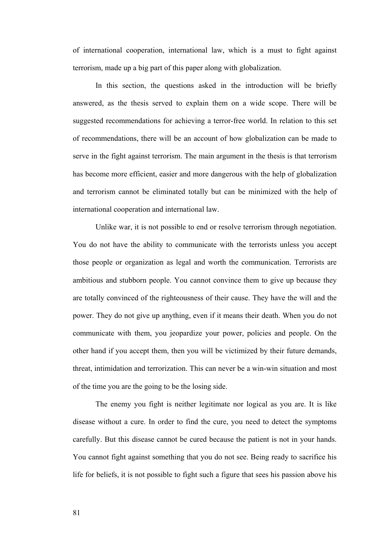of international cooperation, international law, which is a must to fight against terrorism, made up a big part of this paper along with globalization.

In this section, the questions asked in the introduction will be briefly answered, as the thesis served to explain them on a wide scope. There will be suggested recommendations for achieving a terror-free world. In relation to this set of recommendations, there will be an account of how globalization can be made to serve in the fight against terrorism. The main argument in the thesis is that terrorism has become more efficient, easier and more dangerous with the help of globalization and terrorism cannot be eliminated totally but can be minimized with the help of international cooperation and international law.

Unlike war, it is not possible to end or resolve terrorism through negotiation. You do not have the ability to communicate with the terrorists unless you accept those people or organization as legal and worth the communication. Terrorists are ambitious and stubborn people. You cannot convince them to give up because they are totally convinced of the righteousness of their cause. They have the will and the power. They do not give up anything, even if it means their death. When you do not communicate with them, you jeopardize your power, policies and people. On the other hand if you accept them, then you will be victimized by their future demands, threat, intimidation and terrorization. This can never be a win-win situation and most of the time you are the going to be the losing side.

The enemy you fight is neither legitimate nor logical as you are. It is like disease without a cure. In order to find the cure, you need to detect the symptoms carefully. But this disease cannot be cured because the patient is not in your hands. You cannot fight against something that you do not see. Being ready to sacrifice his life for beliefs, it is not possible to fight such a figure that sees his passion above his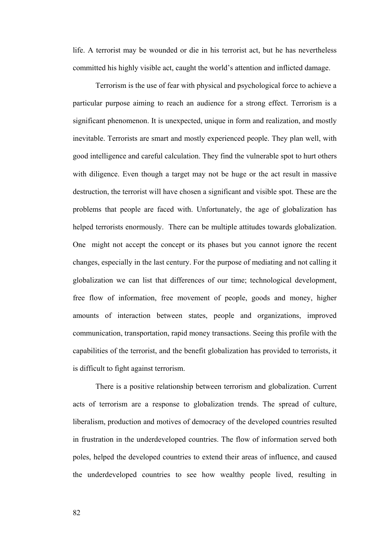life. A terrorist may be wounded or die in his terrorist act, but he has nevertheless committed his highly visible act, caught the world's attention and inflicted damage.

Terrorism is the use of fear with physical and psychological force to achieve a particular purpose aiming to reach an audience for a strong effect. Terrorism is a significant phenomenon. It is unexpected, unique in form and realization, and mostly inevitable. Terrorists are smart and mostly experienced people. They plan well, with good intelligence and careful calculation. They find the vulnerable spot to hurt others with diligence. Even though a target may not be huge or the act result in massive destruction, the terrorist will have chosen a significant and visible spot. These are the problems that people are faced with. Unfortunately, the age of globalization has helped terrorists enormously. There can be multiple attitudes towards globalization. One might not accept the concept or its phases but you cannot ignore the recent changes, especially in the last century. For the purpose of mediating and not calling it globalization we can list that differences of our time; technological development, free flow of information, free movement of people, goods and money, higher amounts of interaction between states, people and organizations, improved communication, transportation, rapid money transactions. Seeing this profile with the capabilities of the terrorist, and the benefit globalization has provided to terrorists, it is difficult to fight against terrorism.

There is a positive relationship between terrorism and globalization. Current acts of terrorism are a response to globalization trends. The spread of culture, liberalism, production and motives of democracy of the developed countries resulted in frustration in the underdeveloped countries. The flow of information served both poles, helped the developed countries to extend their areas of influence, and caused the underdeveloped countries to see how wealthy people lived, resulting in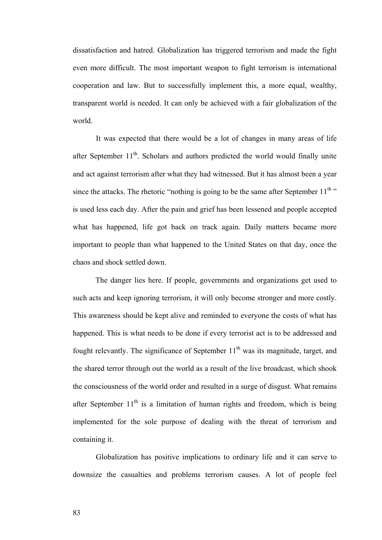dissatisfaction and hatred. Globalization has triggered terrorism and made the fight even more difficult. The most important weapon to fight terrorism is international cooperation and law. But to successfully implement this, a more equal, wealthy, transparent world is needed. It can only be achieved with a fair globalization of the world.

 It was expected that there would be a lot of changes in many areas of life after September  $11<sup>th</sup>$ . Scholars and authors predicted the world would finally unite and act against terrorism after what they had witnessed. But it has almost been a year since the attacks. The rhetoric "nothing is going to be the same after September  $11<sup>th</sup>$ " is used less each day. After the pain and grief has been lessened and people accepted what has happened, life got back on track again. Daily matters became more important to people than what happened to the United States on that day, once the chaos and shock settled down.

The danger lies here. If people, governments and organizations get used to such acts and keep ignoring terrorism, it will only become stronger and more costly. This awareness should be kept alive and reminded to everyone the costs of what has happened. This is what needs to be done if every terrorist act is to be addressed and fought relevantly. The significance of September  $11<sup>th</sup>$  was its magnitude, target, and the shared terror through out the world as a result of the live broadcast, which shook the consciousness of the world order and resulted in a surge of disgust. What remains after September  $11<sup>th</sup>$  is a limitation of human rights and freedom, which is being implemented for the sole purpose of dealing with the threat of terrorism and containing it.

Globalization has positive implications to ordinary life and it can serve to downsize the casualties and problems terrorism causes. A lot of people feel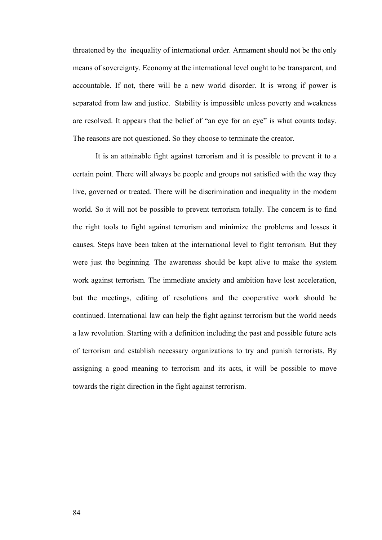threatened by the inequality of international order. Armament should not be the only means of sovereignty. Economy at the international level ought to be transparent, and accountable. If not, there will be a new world disorder. It is wrong if power is separated from law and justice. Stability is impossible unless poverty and weakness are resolved. It appears that the belief of "an eye for an eye" is what counts today. The reasons are not questioned. So they choose to terminate the creator.

It is an attainable fight against terrorism and it is possible to prevent it to a certain point. There will always be people and groups not satisfied with the way they live, governed or treated. There will be discrimination and inequality in the modern world. So it will not be possible to prevent terrorism totally. The concern is to find the right tools to fight against terrorism and minimize the problems and losses it causes. Steps have been taken at the international level to fight terrorism. But they were just the beginning. The awareness should be kept alive to make the system work against terrorism. The immediate anxiety and ambition have lost acceleration, but the meetings, editing of resolutions and the cooperative work should be continued. International law can help the fight against terrorism but the world needs a law revolution. Starting with a definition including the past and possible future acts of terrorism and establish necessary organizations to try and punish terrorists. By assigning a good meaning to terrorism and its acts, it will be possible to move towards the right direction in the fight against terrorism.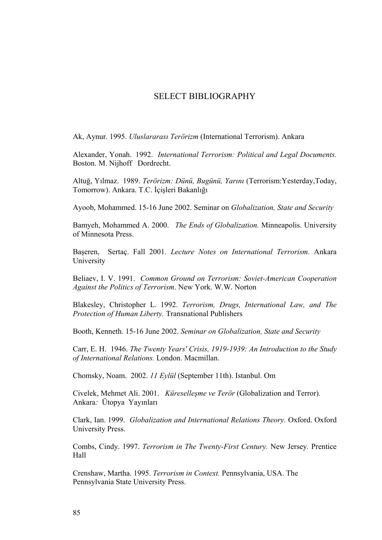# SELECT BIBLIOGRAPHY

Ak, Aynur. 1995. *Uluslararası Terörizm* (International Terrorism). Ankara

Alexander, Yonah. 1992. *International Terrorism: Political and Legal Documents.* Boston. M. Nijhoff Dordrecht.

Altuğ, Yılmaz. 1989. *Terörizm: Dünü, Bugünü, Yarını* (Terrorism:Yesterday,Today, Tomorrow). Ankara. T.C. İçişleri Bakanlığı

Ayoob, Mohammed. 15-16 June 2002. Seminar on *Globalization, State and Security* 

Bamyeh, Mohammed A. 2000. *The Ends of Globalization.* Minneapolis. University of Minnesota Press.

Başeren, Sertaç. Fall 2001. *Lecture Notes on International Terrorism.* Ankara University

Beliaev, I. V. 1991. *Common Ground on Terrorism: Soviet-American Cooperation Against the Politics of Terrorism*. New York. W.W. Norton

Blakesley, Christopher L. 1992. *Terrorism, Drugs, International Law, and The Protection of Human Liberty.* Transnational Publishers

Booth, Kenneth. 15-16 June 2002. *Seminar on Globalization, State and Security*

Carr, E. H. 1946. *The Twenty Years' Crisis, 1919-1939: An Introduction to the Study of International Relations.* London. Macmillan.

Chomsky, Noam. 2002. *11 Eylül* (September 11th). Istanbul. Om

Civelek, Mehmet Ali. 2001. *Küreselleşme ve Terör* (Globalization and Terror)*.*  Ankara*:* Ütopya Yayınları

Clark, Ian. 1999. *Globalization and International Relations Theory.* Oxford. Oxford University Press.

Combs, Cindy. 1997. *Terrorism in The Twenty-First Century.* New Jersey*.* Prentice Hall

Crenshaw, Martha. 1995. *Terrorism in Context.* Pennsylvania, USA. The Pennsylvania State University Press.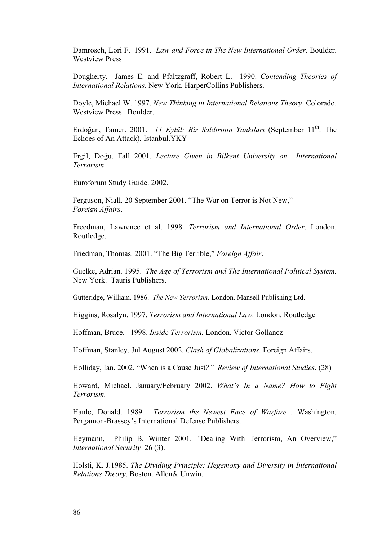Damrosch, Lori F. 1991. *Law and Force in The New International Order.* Boulder. Westview Press

Dougherty, James E. and Pfaltzgraff, Robert L. 1990. *Contending Theories of International Relations.* New York. HarperCollins Publishers.

Doyle, Michael W. 1997. *New Thinking in International Relations Theory*. Colorado. Westview Press Boulder.

Erdoğan, Tamer. 2001. *11 Eylül: Bir Saldırının Yankıları* (September 11<sup>th</sup>: The Echoes of An Attack)*.* Istanbul.YKY

Ergil, Doğu. Fall 2001. *Lecture Given in Bilkent University on International Terrorism* 

Euroforum Study Guide. 2002.

Ferguson, Niall. 20 September 2001. "The War on Terror is Not New," *Foreign Affairs*.

Freedman, Lawrence et al. 1998. *Terrorism and International Order*. London. Routledge.

Friedman, Thomas. 2001. "The Big Terrible," *Foreign Affair*.

Guelke, Adrian. 1995. *The Age of Terrorism and The International Political System.*  New York. Tauris Publishers.

Gutteridge, William. 1986. *The New Terrorism.* London. Mansell Publishing Ltd.

Higgins, Rosalyn. 1997. *Terrorism and International Law*. London. Routledge

Hoffman, Bruce. 1998. *Inside Terrorism.* London. Victor Gollancz

Hoffman, Stanley. Jul August 2002. *Clash of Globalizations*. Foreign Affairs.

Holliday, Ian. 2002. "When is a Cause Just*?" Review of International Studies*. (28)

Howard, Michael. January/February 2002. *What's In a Name? How to Fight Terrorism.* 

Hanle, Donald. 1989. *Terrorism the Newest Face of Warfare .* Washington*.*  Pergamon-Brassey's International Defense Publishers.

Heymann, Philip B*.* Winter 2001. *"*Dealing With Terrorism, An Overview," *International Security* 26 (3).

Holsti, K. J.1985. *The Dividing Principle: Hegemony and Diversity in International Relations Theory*. Boston. Allen& Unwin.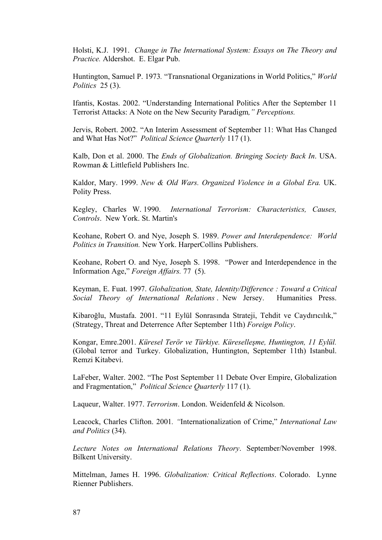Holsti, K.J. 1991. *Change in The International System: Essays on The Theory and Practice.* Aldershot. E. Elgar Pub.

Huntington, Samuel P. 1973*.* "Transnational Organizations in World Politics," *World Politics* 25 (3).

Ifantis, Kostas. 2002. "Understanding International Politics After the September 11 Terrorist Attacks: A Note on the New Security Paradigm*," Perceptions.*

Jervis, Robert. 2002. "An Interim Assessment of September 11: What Has Changed and What Has Not?" *Political Science Quarterly* 117 (1).

Kalb, Don et al. 2000. The *Ends of Globalization. Bringing Society Back In*. USA. Rowman & Littlefield Publishers Inc.

Kaldor, Mary. 1999. *New & Old Wars. Organized Violence in a Global Era.* UK. Polity Press.

Kegley, Charles W. 1990. *International Terrorism: Characteristics, Causes, Controls*. New York. St. Martin's

Keohane, Robert O. and Nye, Joseph S. 1989. *Power and Interdependence: World Politics in Transition.* New York. HarperCollins Publishers.

Keohane, Robert O. and Nye, Joseph S. 1998. "Power and Interdependence in the Information Age," *Foreign Affairs.* 77 (5).

Keyman, E. Fuat. 1997. *Globalization, State, Identity/Difference : Toward a Critical Social Theory of International Relations* . New Jersey. Humanities Press.

Kibaroğlu, Mustafa. 2001. "11 Eylül Sonrasında Strateji, Tehdit ve Caydırıcılık," (Strategy, Threat and Deterrence After September 11th) *Foreign Policy*.

Kongar, Emre.2001. *Küresel Terör ve Türkiye. Küreselleşme, Huntington, 11 Eylül.* (Global terror and Turkey. Globalization, Huntington, September 11th) Istanbul. Remzi Kitabevi.

LaFeber, Walter. 2002. "The Post September 11 Debate Over Empire, Globalization and Fragmentation," *Political Science Quarterly* 117 (1).

Laqueur, Walter. 1977. *Terrorism*. London. Weidenfeld & Nicolson.

Leacock, Charles Clifton. 2001*. "*Internationalization of Crime," *International Law and Politics* (34).

*Lecture Notes on International Relations Theory*. September/November 1998. Bilkent University.

Mittelman, James H. 1996. *Globalization: Critical Reflections*. Colorado. Lynne Rienner Publishers.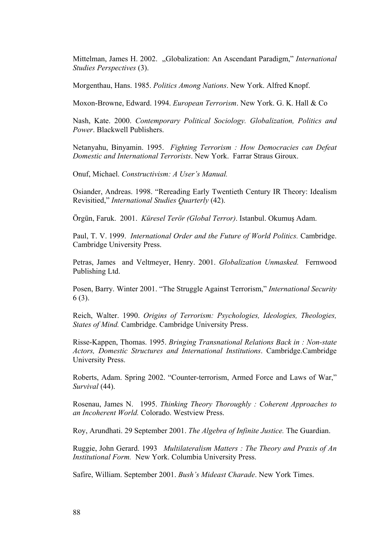Mittelman, James H. 2002. "Globalization: An Ascendant Paradigm," *International Studies Perspectives* (3).

Morgenthau, Hans. 1985. *Politics Among Nations*. New York. Alfred Knopf.

Moxon-Browne, Edward. 1994. *European Terrorism*. New York. G. K. Hall & Co

Nash, Kate. 2000. *Contemporary Political Sociology. Globalization, Politics and Power*. Blackwell Publishers.

Netanyahu, Binyamin. 1995. *Fighting Terrorism : How Democracies can Defeat Domestic and International Terrorists*. New York. Farrar Straus Giroux.

Onuf, Michael. *Constructivism: A User's Manual.*

Osiander, Andreas. 1998. "Rereading Early Twentieth Century IR Theory: Idealism Revisitied," *International Studies Quarterly* (42).

Örgün, Faruk. 2001. *Küresel Terör (Global Terror)*. Istanbul. Okumuş Adam.

Paul, T. V. 1999. *International Order and the Future of World Politics.* Cambridge. Cambridge University Press.

Petras, James and Veltmeyer, Henry. 2001. *Globalization Unmasked.* Fernwood Publishing Ltd.

Posen, Barry. Winter 2001. "The Struggle Against Terrorism," *International Security*  6 (3).

Reich, Walter. 1990. *Origins of Terrorism: Psychologies, Ideologies, Theologies, States of Mind.* Cambridge. Cambridge University Press.

Risse-Kappen, Thomas. 1995. *Bringing Transnational Relations Back in : Non-state Actors, Domestic Structures and International Institutions*. Cambridge.Cambridge University Press.

Roberts, Adam. Spring 2002. "Counter-terrorism, Armed Force and Laws of War," *Survival* (44).

Rosenau, James N. 1995. *Thinking Theory Thoroughly : Coherent Approaches to an Incoherent World.* Colorado. Westview Press.

Roy, Arundhati. 29 September 2001. *The Algebra of Infinite Justice.* The Guardian.

Ruggie, John Gerard. 1993 *Multilateralism Matters : The Theory and Praxis of An Institutional Form.* New York. Columbia University Press.

Safire, William. September 2001. *Bush's Mideast Charade*. New York Times.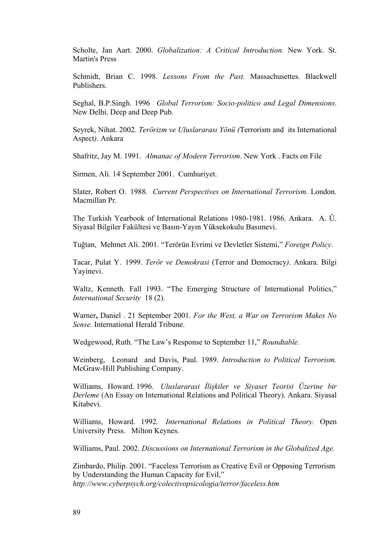Scholte, Jan Aart. 2000. *Globalization: A Critical Introduction.* New York. St. Martin's Press

Schmidt, Brian C. 1998. *Lessons From the Past.* Massachusettes. Blackwell Publishers.

Seghal, B.P.Singh. 1996 *Global Terrorism: Socio-politico and Legal Dimensions*. New Delhi. Deep and Deep Pub.

Seyrek, Nihat. 2002. *Terörizm ve Uluslararası Yönü (*Terrorism and its International Aspect*)*. Ankara

Shafritz, Jay M. 1991. *Almanac of Modern Terrorism*. New York . Facts on File

Sirmen, Ali. 14 September 2001. Cumhuriyet.

Slater, Robert O. 1988. *Current Perspectives on International Terrorism.* London*.*  Macmillan Pr.

The Turkish Yearbook of International Relations 1980-1981. 1986. Ankara. A. Ü. Siyasal Bilgiler Fakültesi ve Basın-Yayın Yüksekokulu Basımevi.

Tuğtan, Mehmet Ali. 2001. "Terörün Evrimi ve Devletler Sistemi," *Foreign Policy*.

Tacar, Pulat Y. 1999. *Terör ve Demokrasi* (Terror and Democracy*)*. Ankara. Bilgi Yayinevi.

Waltz, Kenneth. Fall 1993. "The Emerging Structure of International Politics," *International Security* 18 (2).

Warner**,** Daniel . 21 September 2001. *For the West, a War on Terrorism Makes No Sense.* International Herald Tribune.

Wedgewood, Ruth. "The Law's Response to September 11," *Roundtable.* 

Weinberg, Leonard and Davis, Paul. 1989. *Introduction to Political Terrorism.* McGraw-Hill Publishing Company.

Williams, Howard. 1996. *Uluslararasi İlişkiler ve Siyaset Teorisi Üzerine bir Derleme* (An Essay on International Relations and Political Theory). Ankara. Siyasal Kitabevi.

Williams, Howard. 1992. *International Relations in Political Theory.* Open University Press. Milton Keynes.

Williams, Paul. 2002. *Discussions on International Terrorism in the Globalized Age.*

Zimbardo, Philip. 2001. "Faceless Terrorism as Creative Evil or Opposing Terrorism by Understanding the Human Capacity for Evil," *http://www.cyberpsych.org/colectivopsicologia/terror/faceless.htm*